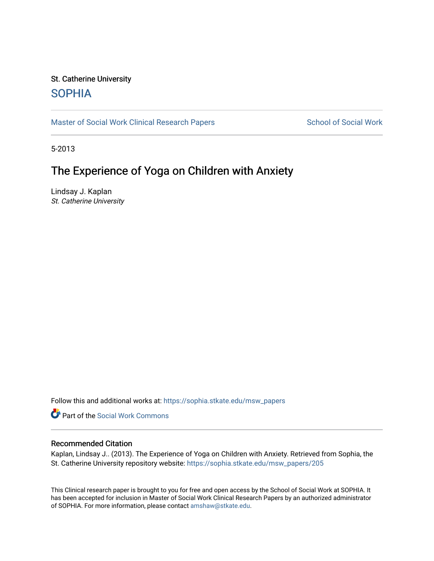## St. Catherine University **SOPHIA**

[Master of Social Work Clinical Research Papers](https://sophia.stkate.edu/msw_papers) School of Social Work

5-2013

# The Experience of Yoga on Children with Anxiety

Lindsay J. Kaplan St. Catherine University

Follow this and additional works at: [https://sophia.stkate.edu/msw\\_papers](https://sophia.stkate.edu/msw_papers?utm_source=sophia.stkate.edu%2Fmsw_papers%2F205&utm_medium=PDF&utm_campaign=PDFCoverPages) 

Part of the [Social Work Commons](http://network.bepress.com/hgg/discipline/713?utm_source=sophia.stkate.edu%2Fmsw_papers%2F205&utm_medium=PDF&utm_campaign=PDFCoverPages)

### Recommended Citation

Kaplan, Lindsay J.. (2013). The Experience of Yoga on Children with Anxiety. Retrieved from Sophia, the St. Catherine University repository website: [https://sophia.stkate.edu/msw\\_papers/205](https://sophia.stkate.edu/msw_papers/205?utm_source=sophia.stkate.edu%2Fmsw_papers%2F205&utm_medium=PDF&utm_campaign=PDFCoverPages) 

This Clinical research paper is brought to you for free and open access by the School of Social Work at SOPHIA. It has been accepted for inclusion in Master of Social Work Clinical Research Papers by an authorized administrator of SOPHIA. For more information, please contact [amshaw@stkate.edu.](mailto:amshaw@stkate.edu)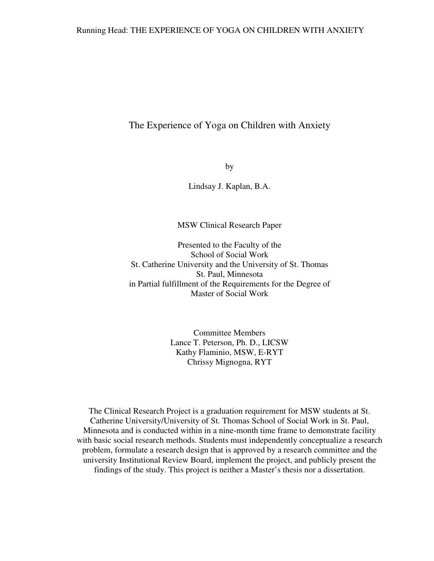## The Experience of Yoga on Children with Anxiety

by

Lindsay J. Kaplan, B.A.

MSW Clinical Research Paper

Presented to the Faculty of the School of Social Work St. Catherine University and the University of St. Thomas St. Paul, Minnesota in Partial fulfillment of the Requirements for the Degree of Master of Social Work

> Committee Members Lance T. Peterson, Ph. D., LICSW Kathy Flaminio, MSW, E-RYT Chrissy Mignogna, RYT

The Clinical Research Project is a graduation requirement for MSW students at St. Catherine University/University of St. Thomas School of Social Work in St. Paul, Minnesota and is conducted within in a nine-month time frame to demonstrate facility with basic social research methods. Students must independently conceptualize a research problem, formulate a research design that is approved by a research committee and the university Institutional Review Board, implement the project, and publicly present the findings of the study. This project is neither a Master's thesis nor a dissertation.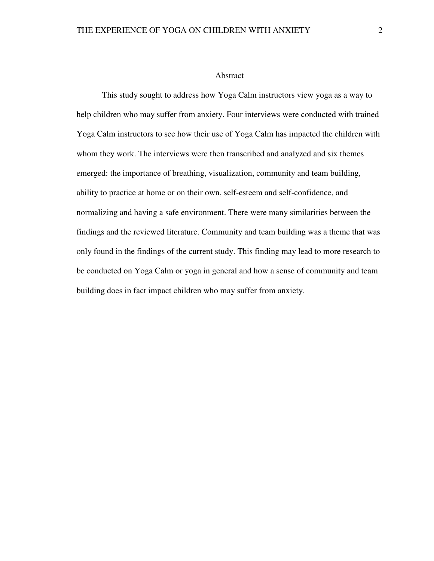#### Abstract

 This study sought to address how Yoga Calm instructors view yoga as a way to help children who may suffer from anxiety. Four interviews were conducted with trained Yoga Calm instructors to see how their use of Yoga Calm has impacted the children with whom they work. The interviews were then transcribed and analyzed and six themes emerged: the importance of breathing, visualization, community and team building, ability to practice at home or on their own, self-esteem and self-confidence, and normalizing and having a safe environment. There were many similarities between the findings and the reviewed literature. Community and team building was a theme that was only found in the findings of the current study. This finding may lead to more research to be conducted on Yoga Calm or yoga in general and how a sense of community and team building does in fact impact children who may suffer from anxiety.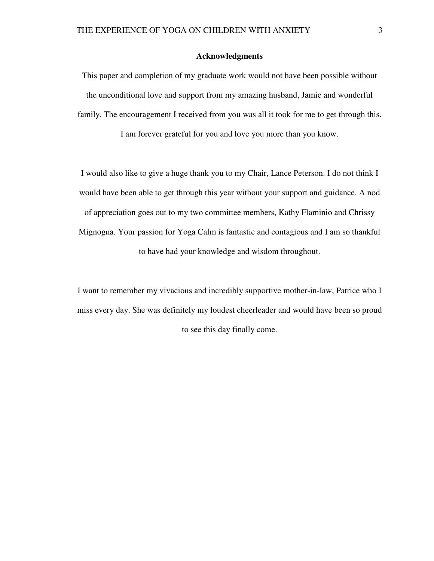### **Acknowledgments**

This paper and completion of my graduate work would not have been possible without the unconditional love and support from my amazing husband, Jamie and wonderful family. The encouragement I received from you was all it took for me to get through this.

I am forever grateful for you and love you more than you know.

I would also like to give a huge thank you to my Chair, Lance Peterson. I do not think I would have been able to get through this year without your support and guidance. A nod of appreciation goes out to my two committee members, Kathy Flaminio and Chrissy Mignogna. Your passion for Yoga Calm is fantastic and contagious and I am so thankful to have had your knowledge and wisdom throughout.

I want to remember my vivacious and incredibly supportive mother-in-law, Patrice who I miss every day. She was definitely my loudest cheerleader and would have been so proud to see this day finally come.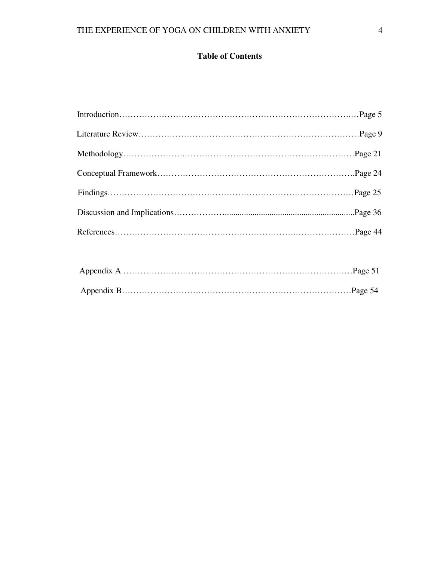## **Table of Contents**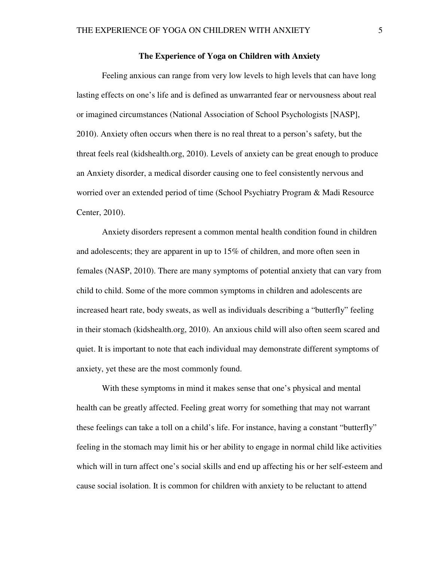#### **The Experience of Yoga on Children with Anxiety**

Feeling anxious can range from very low levels to high levels that can have long lasting effects on one's life and is defined as unwarranted fear or nervousness about real or imagined circumstances (National Association of School Psychologists [NASP], 2010). Anxiety often occurs when there is no real threat to a person's safety, but the threat feels real (kidshealth.org, 2010). Levels of anxiety can be great enough to produce an Anxiety disorder, a medical disorder causing one to feel consistently nervous and worried over an extended period of time (School Psychiatry Program & Madi Resource Center, 2010).

 Anxiety disorders represent a common mental health condition found in children and adolescents; they are apparent in up to 15% of children, and more often seen in females (NASP, 2010). There are many symptoms of potential anxiety that can vary from child to child. Some of the more common symptoms in children and adolescents are increased heart rate, body sweats, as well as individuals describing a "butterfly" feeling in their stomach (kidshealth.org, 2010). An anxious child will also often seem scared and quiet. It is important to note that each individual may demonstrate different symptoms of anxiety, yet these are the most commonly found.

With these symptoms in mind it makes sense that one's physical and mental health can be greatly affected. Feeling great worry for something that may not warrant these feelings can take a toll on a child's life. For instance, having a constant "butterfly" feeling in the stomach may limit his or her ability to engage in normal child like activities which will in turn affect one's social skills and end up affecting his or her self-esteem and cause social isolation. It is common for children with anxiety to be reluctant to attend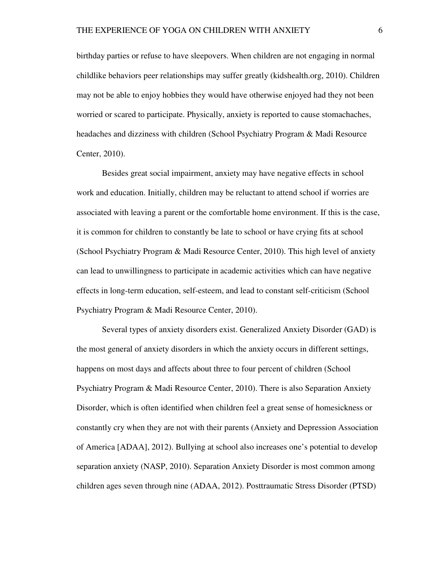birthday parties or refuse to have sleepovers. When children are not engaging in normal childlike behaviors peer relationships may suffer greatly (kidshealth.org, 2010). Children may not be able to enjoy hobbies they would have otherwise enjoyed had they not been worried or scared to participate. Physically, anxiety is reported to cause stomachaches, headaches and dizziness with children (School Psychiatry Program & Madi Resource Center, 2010).

Besides great social impairment, anxiety may have negative effects in school work and education. Initially, children may be reluctant to attend school if worries are associated with leaving a parent or the comfortable home environment. If this is the case, it is common for children to constantly be late to school or have crying fits at school (School Psychiatry Program & Madi Resource Center, 2010). This high level of anxiety can lead to unwillingness to participate in academic activities which can have negative effects in long-term education, self-esteem, and lead to constant self-criticism (School Psychiatry Program & Madi Resource Center, 2010).

Several types of anxiety disorders exist. Generalized Anxiety Disorder (GAD) is the most general of anxiety disorders in which the anxiety occurs in different settings, happens on most days and affects about three to four percent of children (School Psychiatry Program & Madi Resource Center, 2010). There is also Separation Anxiety Disorder, which is often identified when children feel a great sense of homesickness or constantly cry when they are not with their parents (Anxiety and Depression Association of America [ADAA], 2012). Bullying at school also increases one's potential to develop separation anxiety (NASP, 2010). Separation Anxiety Disorder is most common among children ages seven through nine (ADAA, 2012). Posttraumatic Stress Disorder (PTSD)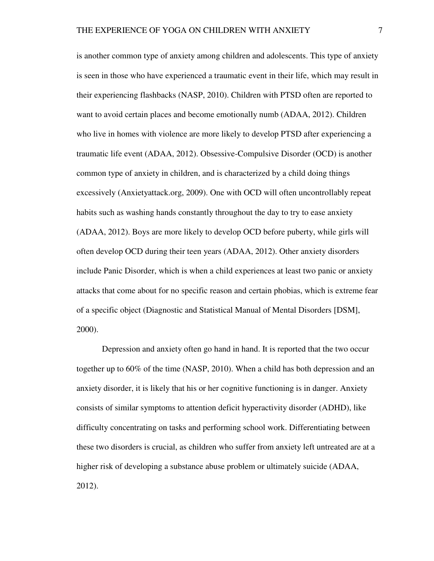is another common type of anxiety among children and adolescents. This type of anxiety is seen in those who have experienced a traumatic event in their life, which may result in their experiencing flashbacks (NASP, 2010). Children with PTSD often are reported to want to avoid certain places and become emotionally numb (ADAA, 2012). Children who live in homes with violence are more likely to develop PTSD after experiencing a traumatic life event (ADAA, 2012). Obsessive-Compulsive Disorder (OCD) is another common type of anxiety in children, and is characterized by a child doing things excessively (Anxietyattack.org, 2009). One with OCD will often uncontrollably repeat habits such as washing hands constantly throughout the day to try to ease anxiety (ADAA, 2012). Boys are more likely to develop OCD before puberty, while girls will often develop OCD during their teen years (ADAA, 2012). Other anxiety disorders include Panic Disorder, which is when a child experiences at least two panic or anxiety attacks that come about for no specific reason and certain phobias, which is extreme fear of a specific object (Diagnostic and Statistical Manual of Mental Disorders [DSM], 2000).

Depression and anxiety often go hand in hand. It is reported that the two occur together up to 60% of the time (NASP, 2010). When a child has both depression and an anxiety disorder, it is likely that his or her cognitive functioning is in danger. Anxiety consists of similar symptoms to attention deficit hyperactivity disorder (ADHD), like difficulty concentrating on tasks and performing school work. Differentiating between these two disorders is crucial, as children who suffer from anxiety left untreated are at a higher risk of developing a substance abuse problem or ultimately suicide (ADAA, 2012).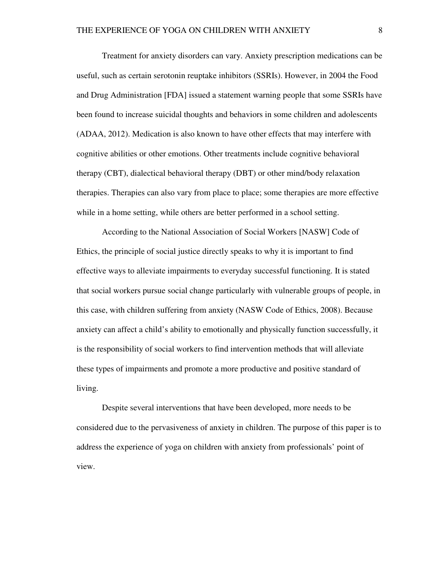Treatment for anxiety disorders can vary. Anxiety prescription medications can be useful, such as certain serotonin reuptake inhibitors (SSRIs). However, in 2004 the Food and Drug Administration [FDA] issued a statement warning people that some SSRIs have been found to increase suicidal thoughts and behaviors in some children and adolescents (ADAA, 2012). Medication is also known to have other effects that may interfere with cognitive abilities or other emotions. Other treatments include cognitive behavioral therapy (CBT), dialectical behavioral therapy (DBT) or other mind/body relaxation therapies. Therapies can also vary from place to place; some therapies are more effective while in a home setting, while others are better performed in a school setting.

According to the National Association of Social Workers [NASW] Code of Ethics, the principle of social justice directly speaks to why it is important to find effective ways to alleviate impairments to everyday successful functioning. It is stated that social workers pursue social change particularly with vulnerable groups of people, in this case, with children suffering from anxiety (NASW Code of Ethics, 2008). Because anxiety can affect a child's ability to emotionally and physically function successfully, it is the responsibility of social workers to find intervention methods that will alleviate these types of impairments and promote a more productive and positive standard of living.

Despite several interventions that have been developed, more needs to be considered due to the pervasiveness of anxiety in children. The purpose of this paper is to address the experience of yoga on children with anxiety from professionals' point of view.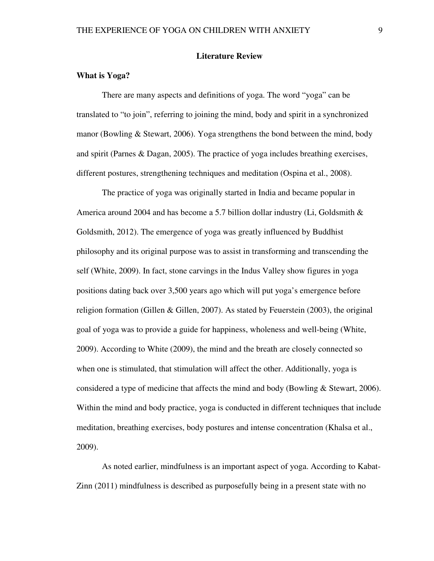#### **Literature Review**

### **What is Yoga?**

There are many aspects and definitions of yoga. The word "yoga" can be translated to "to join", referring to joining the mind, body and spirit in a synchronized manor (Bowling & Stewart, 2006). Yoga strengthens the bond between the mind, body and spirit (Parnes & Dagan, 2005). The practice of yoga includes breathing exercises, different postures, strengthening techniques and meditation (Ospina et al., 2008).

 The practice of yoga was originally started in India and became popular in America around 2004 and has become a 5.7 billion dollar industry (Li, Goldsmith  $\&$ Goldsmith, 2012). The emergence of yoga was greatly influenced by Buddhist philosophy and its original purpose was to assist in transforming and transcending the self (White, 2009). In fact, stone carvings in the Indus Valley show figures in yoga positions dating back over 3,500 years ago which will put yoga's emergence before religion formation (Gillen & Gillen, 2007). As stated by Feuerstein (2003), the original goal of yoga was to provide a guide for happiness, wholeness and well-being (White, 2009). According to White (2009), the mind and the breath are closely connected so when one is stimulated, that stimulation will affect the other. Additionally, yoga is considered a type of medicine that affects the mind and body (Bowling & Stewart, 2006). Within the mind and body practice, yoga is conducted in different techniques that include meditation, breathing exercises, body postures and intense concentration (Khalsa et al., 2009).

 As noted earlier, mindfulness is an important aspect of yoga. According to Kabat-Zinn (2011) mindfulness is described as purposefully being in a present state with no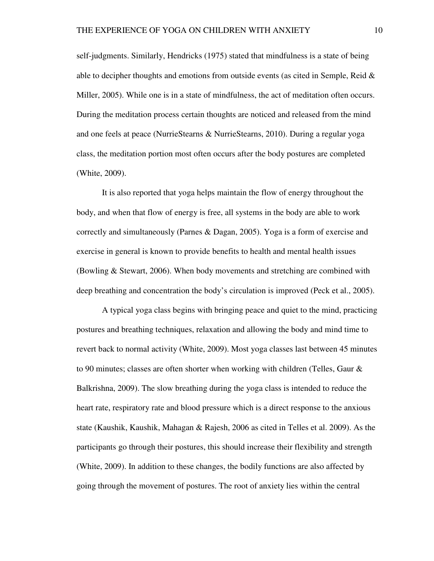self-judgments. Similarly, Hendricks (1975) stated that mindfulness is a state of being able to decipher thoughts and emotions from outside events (as cited in Semple, Reid & Miller, 2005). While one is in a state of mindfulness, the act of meditation often occurs. During the meditation process certain thoughts are noticed and released from the mind and one feels at peace (NurrieStearns & NurrieStearns, 2010). During a regular yoga class, the meditation portion most often occurs after the body postures are completed (White, 2009).

It is also reported that yoga helps maintain the flow of energy throughout the body, and when that flow of energy is free, all systems in the body are able to work correctly and simultaneously (Parnes & Dagan, 2005). Yoga is a form of exercise and exercise in general is known to provide benefits to health and mental health issues (Bowling & Stewart, 2006). When body movements and stretching are combined with deep breathing and concentration the body's circulation is improved (Peck et al., 2005).

A typical yoga class begins with bringing peace and quiet to the mind, practicing postures and breathing techniques, relaxation and allowing the body and mind time to revert back to normal activity (White, 2009). Most yoga classes last between 45 minutes to 90 minutes; classes are often shorter when working with children (Telles, Gaur & Balkrishna, 2009). The slow breathing during the yoga class is intended to reduce the heart rate, respiratory rate and blood pressure which is a direct response to the anxious state (Kaushik, Kaushik, Mahagan & Rajesh, 2006 as cited in Telles et al. 2009). As the participants go through their postures, this should increase their flexibility and strength (White, 2009). In addition to these changes, the bodily functions are also affected by going through the movement of postures. The root of anxiety lies within the central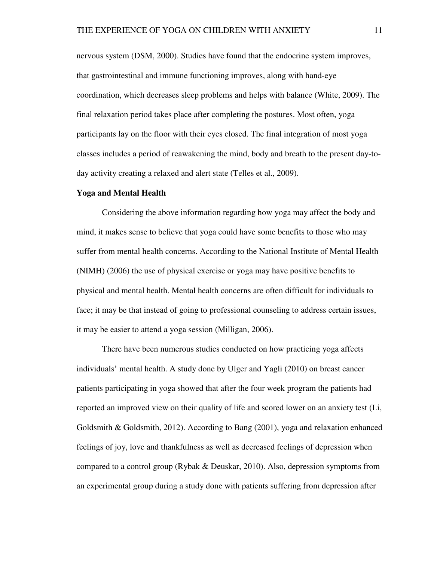nervous system (DSM, 2000). Studies have found that the endocrine system improves, that gastrointestinal and immune functioning improves, along with hand-eye coordination, which decreases sleep problems and helps with balance (White, 2009). The final relaxation period takes place after completing the postures. Most often, yoga participants lay on the floor with their eyes closed. The final integration of most yoga classes includes a period of reawakening the mind, body and breath to the present day-today activity creating a relaxed and alert state (Telles et al., 2009).

### **Yoga and Mental Health**

Considering the above information regarding how yoga may affect the body and mind, it makes sense to believe that yoga could have some benefits to those who may suffer from mental health concerns. According to the National Institute of Mental Health (NIMH) (2006) the use of physical exercise or yoga may have positive benefits to physical and mental health. Mental health concerns are often difficult for individuals to face; it may be that instead of going to professional counseling to address certain issues, it may be easier to attend a yoga session (Milligan, 2006).

 There have been numerous studies conducted on how practicing yoga affects individuals' mental health. A study done by Ulger and Yagli (2010) on breast cancer patients participating in yoga showed that after the four week program the patients had reported an improved view on their quality of life and scored lower on an anxiety test (Li, Goldsmith & Goldsmith, 2012). According to Bang (2001), yoga and relaxation enhanced feelings of joy, love and thankfulness as well as decreased feelings of depression when compared to a control group (Rybak & Deuskar, 2010). Also, depression symptoms from an experimental group during a study done with patients suffering from depression after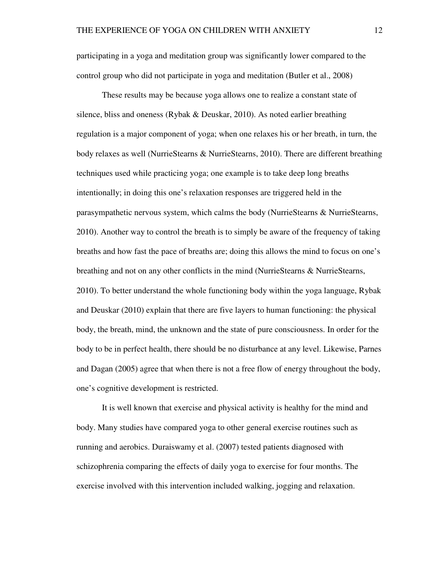participating in a yoga and meditation group was significantly lower compared to the control group who did not participate in yoga and meditation (Butler et al., 2008)

 These results may be because yoga allows one to realize a constant state of silence, bliss and oneness (Rybak & Deuskar, 2010). As noted earlier breathing regulation is a major component of yoga; when one relaxes his or her breath, in turn, the body relaxes as well (NurrieStearns & NurrieStearns, 2010). There are different breathing techniques used while practicing yoga; one example is to take deep long breaths intentionally; in doing this one's relaxation responses are triggered held in the parasympathetic nervous system, which calms the body (NurrieStearns & NurrieStearns, 2010). Another way to control the breath is to simply be aware of the frequency of taking breaths and how fast the pace of breaths are; doing this allows the mind to focus on one's breathing and not on any other conflicts in the mind (NurrieStearns & NurrieStearns, 2010). To better understand the whole functioning body within the yoga language, Rybak and Deuskar (2010) explain that there are five layers to human functioning: the physical body, the breath, mind, the unknown and the state of pure consciousness. In order for the body to be in perfect health, there should be no disturbance at any level. Likewise, Parnes and Dagan (2005) agree that when there is not a free flow of energy throughout the body, one's cognitive development is restricted.

It is well known that exercise and physical activity is healthy for the mind and body. Many studies have compared yoga to other general exercise routines such as running and aerobics. Duraiswamy et al. (2007) tested patients diagnosed with schizophrenia comparing the effects of daily yoga to exercise for four months. The exercise involved with this intervention included walking, jogging and relaxation.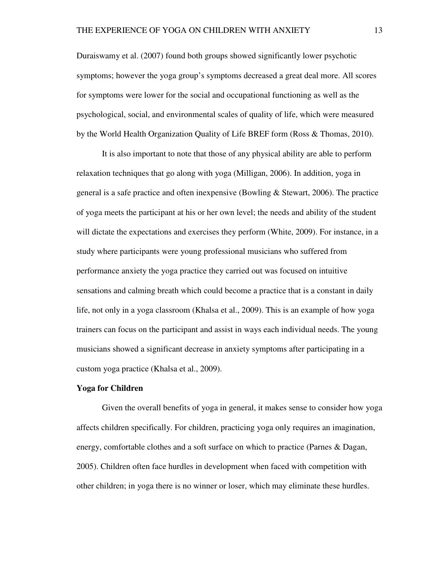Duraiswamy et al. (2007) found both groups showed significantly lower psychotic symptoms; however the yoga group's symptoms decreased a great deal more. All scores for symptoms were lower for the social and occupational functioning as well as the psychological, social, and environmental scales of quality of life, which were measured by the World Health Organization Quality of Life BREF form (Ross & Thomas, 2010).

It is also important to note that those of any physical ability are able to perform relaxation techniques that go along with yoga (Milligan, 2006). In addition, yoga in general is a safe practice and often inexpensive (Bowling & Stewart, 2006). The practice of yoga meets the participant at his or her own level; the needs and ability of the student will dictate the expectations and exercises they perform (White, 2009). For instance, in a study where participants were young professional musicians who suffered from performance anxiety the yoga practice they carried out was focused on intuitive sensations and calming breath which could become a practice that is a constant in daily life, not only in a yoga classroom (Khalsa et al., 2009). This is an example of how yoga trainers can focus on the participant and assist in ways each individual needs. The young musicians showed a significant decrease in anxiety symptoms after participating in a custom yoga practice (Khalsa et al., 2009).

#### **Yoga for Children**

Given the overall benefits of yoga in general, it makes sense to consider how yoga affects children specifically. For children, practicing yoga only requires an imagination, energy, comfortable clothes and a soft surface on which to practice (Parnes & Dagan, 2005). Children often face hurdles in development when faced with competition with other children; in yoga there is no winner or loser, which may eliminate these hurdles.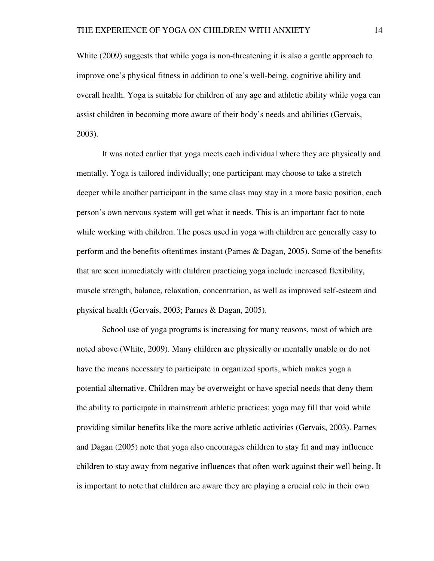White (2009) suggests that while yoga is non-threatening it is also a gentle approach to improve one's physical fitness in addition to one's well-being, cognitive ability and overall health. Yoga is suitable for children of any age and athletic ability while yoga can assist children in becoming more aware of their body's needs and abilities (Gervais, 2003).

 It was noted earlier that yoga meets each individual where they are physically and mentally. Yoga is tailored individually; one participant may choose to take a stretch deeper while another participant in the same class may stay in a more basic position, each person's own nervous system will get what it needs. This is an important fact to note while working with children. The poses used in yoga with children are generally easy to perform and the benefits oftentimes instant (Parnes & Dagan, 2005). Some of the benefits that are seen immediately with children practicing yoga include increased flexibility, muscle strength, balance, relaxation, concentration, as well as improved self-esteem and physical health (Gervais, 2003; Parnes & Dagan, 2005).

 School use of yoga programs is increasing for many reasons, most of which are noted above (White, 2009). Many children are physically or mentally unable or do not have the means necessary to participate in organized sports, which makes yoga a potential alternative. Children may be overweight or have special needs that deny them the ability to participate in mainstream athletic practices; yoga may fill that void while providing similar benefits like the more active athletic activities (Gervais, 2003). Parnes and Dagan (2005) note that yoga also encourages children to stay fit and may influence children to stay away from negative influences that often work against their well being. It is important to note that children are aware they are playing a crucial role in their own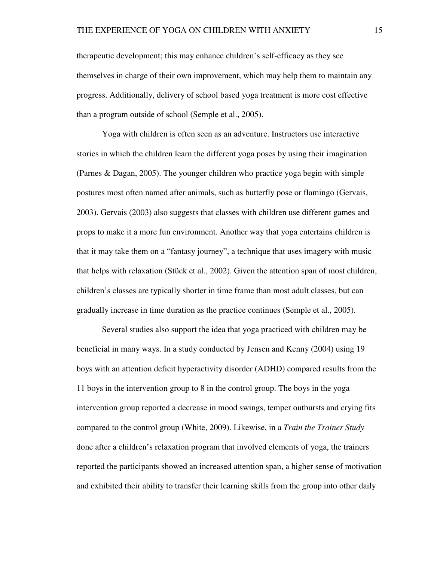therapeutic development; this may enhance children's self-efficacy as they see themselves in charge of their own improvement, which may help them to maintain any progress. Additionally, delivery of school based yoga treatment is more cost effective than a program outside of school (Semple et al., 2005).

 Yoga with children is often seen as an adventure. Instructors use interactive stories in which the children learn the different yoga poses by using their imagination (Parnes & Dagan, 2005). The younger children who practice yoga begin with simple postures most often named after animals, such as butterfly pose or flamingo (Gervais, 2003). Gervais (2003) also suggests that classes with children use different games and props to make it a more fun environment. Another way that yoga entertains children is that it may take them on a "fantasy journey", a technique that uses imagery with music that helps with relaxation (Stück et al., 2002). Given the attention span of most children, children's classes are typically shorter in time frame than most adult classes, but can gradually increase in time duration as the practice continues (Semple et al., 2005).

Several studies also support the idea that yoga practiced with children may be beneficial in many ways. In a study conducted by Jensen and Kenny (2004) using 19 boys with an attention deficit hyperactivity disorder (ADHD) compared results from the 11 boys in the intervention group to 8 in the control group. The boys in the yoga intervention group reported a decrease in mood swings, temper outbursts and crying fits compared to the control group (White, 2009). Likewise, in a *Train the Trainer Study* done after a children's relaxation program that involved elements of yoga, the trainers reported the participants showed an increased attention span, a higher sense of motivation and exhibited their ability to transfer their learning skills from the group into other daily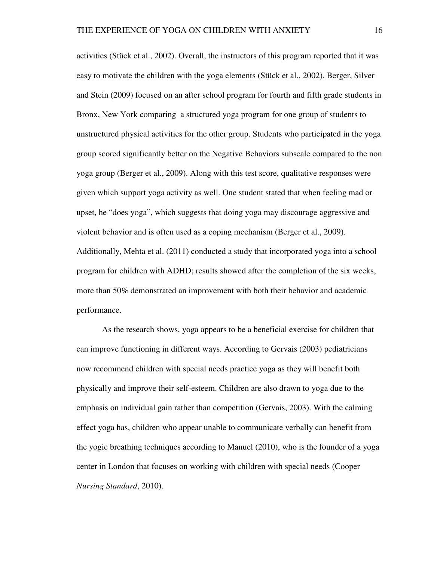activities (Stück et al., 2002). Overall, the instructors of this program reported that it was easy to motivate the children with the yoga elements (Stück et al., 2002). Berger, Silver and Stein (2009) focused on an after school program for fourth and fifth grade students in Bronx, New York comparing a structured yoga program for one group of students to unstructured physical activities for the other group. Students who participated in the yoga group scored significantly better on the Negative Behaviors subscale compared to the non yoga group (Berger et al., 2009). Along with this test score, qualitative responses were given which support yoga activity as well. One student stated that when feeling mad or upset, he "does yoga", which suggests that doing yoga may discourage aggressive and violent behavior and is often used as a coping mechanism (Berger et al., 2009). Additionally, Mehta et al. (2011) conducted a study that incorporated yoga into a school program for children with ADHD; results showed after the completion of the six weeks, more than 50% demonstrated an improvement with both their behavior and academic performance.

As the research shows, yoga appears to be a beneficial exercise for children that can improve functioning in different ways. According to Gervais (2003) pediatricians now recommend children with special needs practice yoga as they will benefit both physically and improve their self-esteem. Children are also drawn to yoga due to the emphasis on individual gain rather than competition (Gervais, 2003). With the calming effect yoga has, children who appear unable to communicate verbally can benefit from the yogic breathing techniques according to Manuel (2010), who is the founder of a yoga center in London that focuses on working with children with special needs (Cooper *Nursing Standard*, 2010).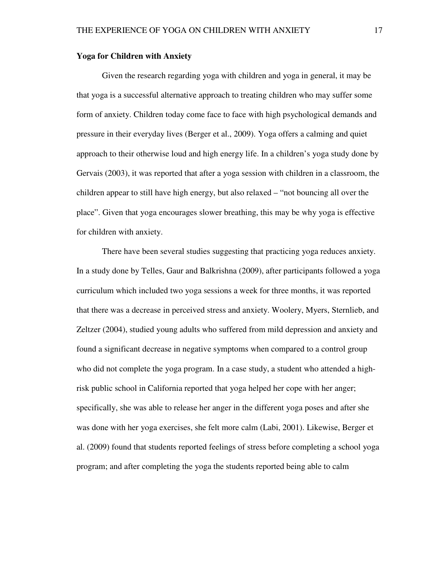### **Yoga for Children with Anxiety**

Given the research regarding yoga with children and yoga in general, it may be that yoga is a successful alternative approach to treating children who may suffer some form of anxiety. Children today come face to face with high psychological demands and pressure in their everyday lives (Berger et al., 2009). Yoga offers a calming and quiet approach to their otherwise loud and high energy life. In a children's yoga study done by Gervais (2003), it was reported that after a yoga session with children in a classroom, the children appear to still have high energy, but also relaxed – "not bouncing all over the place". Given that yoga encourages slower breathing, this may be why yoga is effective for children with anxiety.

There have been several studies suggesting that practicing yoga reduces anxiety. In a study done by Telles, Gaur and Balkrishna (2009), after participants followed a yoga curriculum which included two yoga sessions a week for three months, it was reported that there was a decrease in perceived stress and anxiety. Woolery, Myers, Sternlieb, and Zeltzer (2004), studied young adults who suffered from mild depression and anxiety and found a significant decrease in negative symptoms when compared to a control group who did not complete the yoga program. In a case study, a student who attended a highrisk public school in California reported that yoga helped her cope with her anger; specifically, she was able to release her anger in the different yoga poses and after she was done with her yoga exercises, she felt more calm (Labi, 2001). Likewise, Berger et al. (2009) found that students reported feelings of stress before completing a school yoga program; and after completing the yoga the students reported being able to calm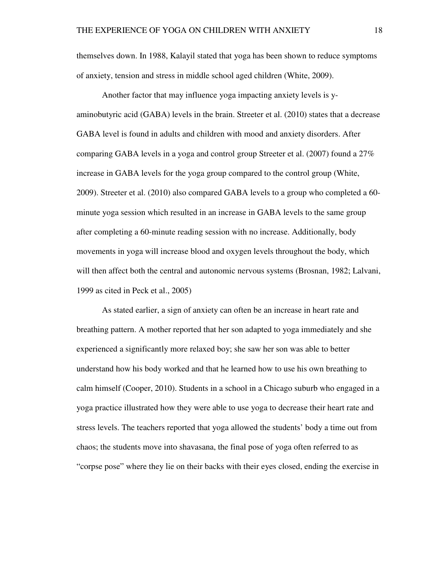themselves down. In 1988, Kalayil stated that yoga has been shown to reduce symptoms of anxiety, tension and stress in middle school aged children (White, 2009).

Another factor that may influence yoga impacting anxiety levels is yaminobutyric acid (GABA) levels in the brain. Streeter et al. (2010) states that a decrease GABA level is found in adults and children with mood and anxiety disorders. After comparing GABA levels in a yoga and control group Streeter et al. (2007) found a 27% increase in GABA levels for the yoga group compared to the control group (White, 2009). Streeter et al. (2010) also compared GABA levels to a group who completed a 60 minute yoga session which resulted in an increase in GABA levels to the same group after completing a 60-minute reading session with no increase. Additionally, body movements in yoga will increase blood and oxygen levels throughout the body, which will then affect both the central and autonomic nervous systems (Brosnan, 1982; Lalvani, 1999 as cited in Peck et al., 2005)

As stated earlier, a sign of anxiety can often be an increase in heart rate and breathing pattern. A mother reported that her son adapted to yoga immediately and she experienced a significantly more relaxed boy; she saw her son was able to better understand how his body worked and that he learned how to use his own breathing to calm himself (Cooper, 2010). Students in a school in a Chicago suburb who engaged in a yoga practice illustrated how they were able to use yoga to decrease their heart rate and stress levels. The teachers reported that yoga allowed the students' body a time out from chaos; the students move into shavasana, the final pose of yoga often referred to as "corpse pose" where they lie on their backs with their eyes closed, ending the exercise in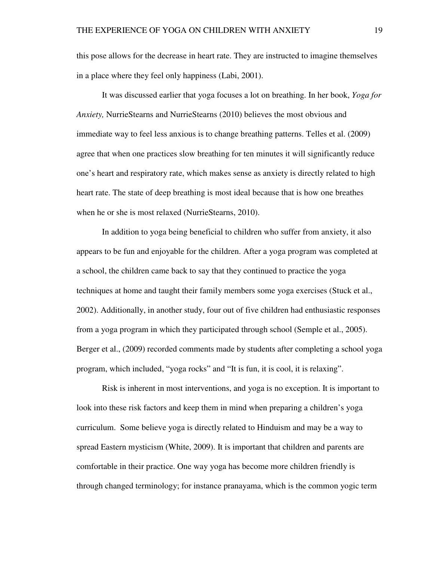this pose allows for the decrease in heart rate. They are instructed to imagine themselves in a place where they feel only happiness (Labi, 2001).

It was discussed earlier that yoga focuses a lot on breathing. In her book, *Yoga for Anxiety,* NurrieStearns and NurrieStearns (2010) believes the most obvious and immediate way to feel less anxious is to change breathing patterns. Telles et al. (2009) agree that when one practices slow breathing for ten minutes it will significantly reduce one's heart and respiratory rate, which makes sense as anxiety is directly related to high heart rate. The state of deep breathing is most ideal because that is how one breathes when he or she is most relaxed (NurrieStearns, 2010).

In addition to yoga being beneficial to children who suffer from anxiety, it also appears to be fun and enjoyable for the children. After a yoga program was completed at a school, the children came back to say that they continued to practice the yoga techniques at home and taught their family members some yoga exercises (Stuck et al., 2002). Additionally, in another study, four out of five children had enthusiastic responses from a yoga program in which they participated through school (Semple et al., 2005). Berger et al., (2009) recorded comments made by students after completing a school yoga program, which included, "yoga rocks" and "It is fun, it is cool, it is relaxing".

Risk is inherent in most interventions, and yoga is no exception. It is important to look into these risk factors and keep them in mind when preparing a children's yoga curriculum. Some believe yoga is directly related to Hinduism and may be a way to spread Eastern mysticism (White, 2009). It is important that children and parents are comfortable in their practice. One way yoga has become more children friendly is through changed terminology; for instance pranayama, which is the common yogic term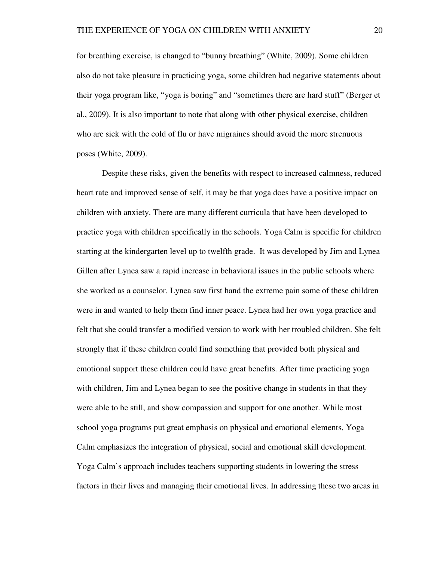for breathing exercise, is changed to "bunny breathing" (White, 2009). Some children also do not take pleasure in practicing yoga, some children had negative statements about their yoga program like, "yoga is boring" and "sometimes there are hard stuff" (Berger et al., 2009). It is also important to note that along with other physical exercise, children who are sick with the cold of flu or have migraines should avoid the more strenuous poses (White, 2009).

Despite these risks, given the benefits with respect to increased calmness, reduced heart rate and improved sense of self, it may be that yoga does have a positive impact on children with anxiety. There are many different curricula that have been developed to practice yoga with children specifically in the schools. Yoga Calm is specific for children starting at the kindergarten level up to twelfth grade. It was developed by Jim and Lynea Gillen after Lynea saw a rapid increase in behavioral issues in the public schools where she worked as a counselor. Lynea saw first hand the extreme pain some of these children were in and wanted to help them find inner peace. Lynea had her own yoga practice and felt that she could transfer a modified version to work with her troubled children. She felt strongly that if these children could find something that provided both physical and emotional support these children could have great benefits. After time practicing yoga with children, Jim and Lynea began to see the positive change in students in that they were able to be still, and show compassion and support for one another. While most school yoga programs put great emphasis on physical and emotional elements, Yoga Calm emphasizes the integration of physical, social and emotional skill development. Yoga Calm's approach includes teachers supporting students in lowering the stress factors in their lives and managing their emotional lives. In addressing these two areas in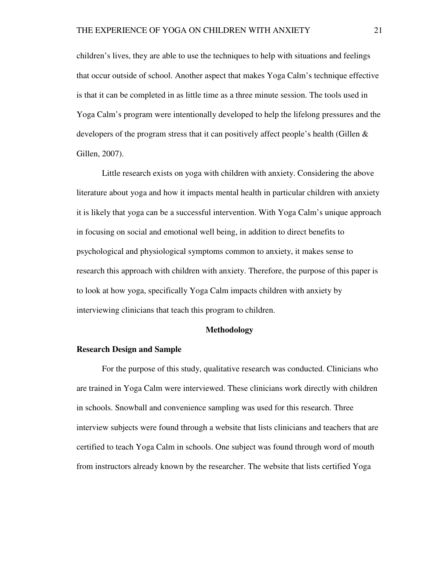children's lives, they are able to use the techniques to help with situations and feelings that occur outside of school. Another aspect that makes Yoga Calm's technique effective is that it can be completed in as little time as a three minute session. The tools used in Yoga Calm's program were intentionally developed to help the lifelong pressures and the developers of the program stress that it can positively affect people's health (Gillen  $\&$ Gillen, 2007).

Little research exists on yoga with children with anxiety. Considering the above literature about yoga and how it impacts mental health in particular children with anxiety it is likely that yoga can be a successful intervention. With Yoga Calm's unique approach in focusing on social and emotional well being, in addition to direct benefits to psychological and physiological symptoms common to anxiety, it makes sense to research this approach with children with anxiety. Therefore, the purpose of this paper is to look at how yoga, specifically Yoga Calm impacts children with anxiety by interviewing clinicians that teach this program to children.

#### **Methodology**

#### **Research Design and Sample**

 For the purpose of this study, qualitative research was conducted. Clinicians who are trained in Yoga Calm were interviewed. These clinicians work directly with children in schools. Snowball and convenience sampling was used for this research. Three interview subjects were found through a website that lists clinicians and teachers that are certified to teach Yoga Calm in schools. One subject was found through word of mouth from instructors already known by the researcher. The website that lists certified Yoga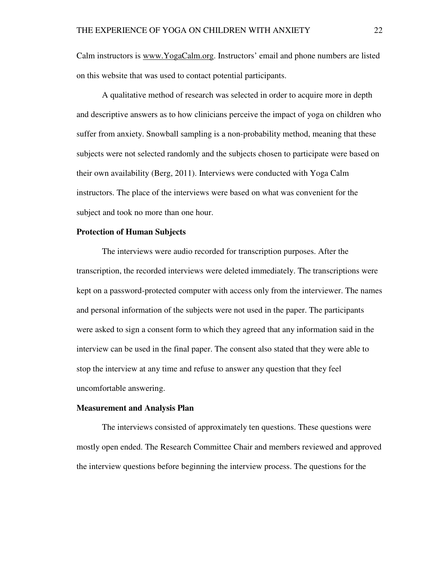Calm instructors is www.YogaCalm.org. Instructors' email and phone numbers are listed on this website that was used to contact potential participants.

 A qualitative method of research was selected in order to acquire more in depth and descriptive answers as to how clinicians perceive the impact of yoga on children who suffer from anxiety. Snowball sampling is a non-probability method, meaning that these subjects were not selected randomly and the subjects chosen to participate were based on their own availability (Berg, 2011). Interviews were conducted with Yoga Calm instructors. The place of the interviews were based on what was convenient for the subject and took no more than one hour.

## **Protection of Human Subjects**

The interviews were audio recorded for transcription purposes. After the transcription, the recorded interviews were deleted immediately. The transcriptions were kept on a password-protected computer with access only from the interviewer. The names and personal information of the subjects were not used in the paper. The participants were asked to sign a consent form to which they agreed that any information said in the interview can be used in the final paper. The consent also stated that they were able to stop the interview at any time and refuse to answer any question that they feel uncomfortable answering.

#### **Measurement and Analysis Plan**

 The interviews consisted of approximately ten questions. These questions were mostly open ended. The Research Committee Chair and members reviewed and approved the interview questions before beginning the interview process. The questions for the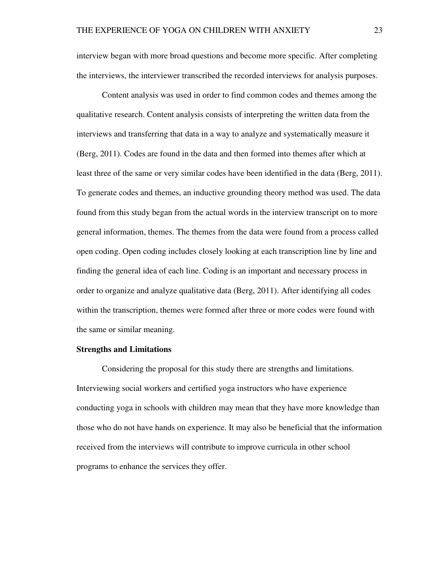interview began with more broad questions and become more specific. After completing the interviews, the interviewer transcribed the recorded interviews for analysis purposes.

Content analysis was used in order to find common codes and themes among the qualitative research. Content analysis consists of interpreting the written data from the interviews and transferring that data in a way to analyze and systematically measure it (Berg, 2011). Codes are found in the data and then formed into themes after which at least three of the same or very similar codes have been identified in the data (Berg, 2011). To generate codes and themes, an inductive grounding theory method was used. The data found from this study began from the actual words in the interview transcript on to more general information, themes. The themes from the data were found from a process called open coding. Open coding includes closely looking at each transcription line by line and finding the general idea of each line. Coding is an important and necessary process in order to organize and analyze qualitative data (Berg, 2011). After identifying all codes within the transcription, themes were formed after three or more codes were found with the same or similar meaning.

#### **Strengths and Limitations**

Considering the proposal for this study there are strengths and limitations. Interviewing social workers and certified yoga instructors who have experience conducting yoga in schools with children may mean that they have more knowledge than those who do not have hands on experience. It may also be beneficial that the information received from the interviews will contribute to improve curricula in other school programs to enhance the services they offer.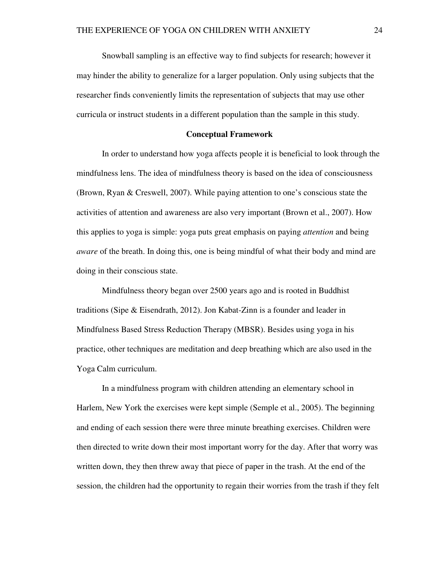Snowball sampling is an effective way to find subjects for research; however it may hinder the ability to generalize for a larger population. Only using subjects that the researcher finds conveniently limits the representation of subjects that may use other curricula or instruct students in a different population than the sample in this study.

#### **Conceptual Framework**

In order to understand how yoga affects people it is beneficial to look through the mindfulness lens. The idea of mindfulness theory is based on the idea of consciousness (Brown, Ryan & Creswell, 2007). While paying attention to one's conscious state the activities of attention and awareness are also very important (Brown et al., 2007). How this applies to yoga is simple: yoga puts great emphasis on paying *attention* and being *aware* of the breath. In doing this, one is being mindful of what their body and mind are doing in their conscious state.

 Mindfulness theory began over 2500 years ago and is rooted in Buddhist traditions (Sipe & Eisendrath, 2012). Jon Kabat-Zinn is a founder and leader in Mindfulness Based Stress Reduction Therapy (MBSR). Besides using yoga in his practice, other techniques are meditation and deep breathing which are also used in the Yoga Calm curriculum.

 In a mindfulness program with children attending an elementary school in Harlem, New York the exercises were kept simple (Semple et al., 2005). The beginning and ending of each session there were three minute breathing exercises. Children were then directed to write down their most important worry for the day. After that worry was written down, they then threw away that piece of paper in the trash. At the end of the session, the children had the opportunity to regain their worries from the trash if they felt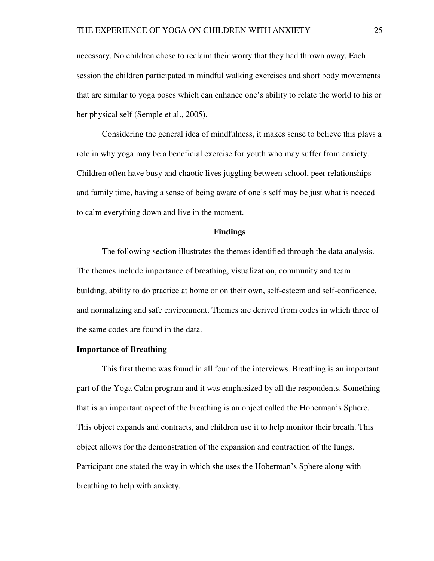necessary. No children chose to reclaim their worry that they had thrown away. Each session the children participated in mindful walking exercises and short body movements that are similar to yoga poses which can enhance one's ability to relate the world to his or her physical self (Semple et al., 2005).

Considering the general idea of mindfulness, it makes sense to believe this plays a role in why yoga may be a beneficial exercise for youth who may suffer from anxiety. Children often have busy and chaotic lives juggling between school, peer relationships and family time, having a sense of being aware of one's self may be just what is needed to calm everything down and live in the moment.

#### **Findings**

The following section illustrates the themes identified through the data analysis. The themes include importance of breathing, visualization, community and team building, ability to do practice at home or on their own, self-esteem and self-confidence, and normalizing and safe environment. Themes are derived from codes in which three of the same codes are found in the data.

#### **Importance of Breathing**

 This first theme was found in all four of the interviews. Breathing is an important part of the Yoga Calm program and it was emphasized by all the respondents. Something that is an important aspect of the breathing is an object called the Hoberman's Sphere. This object expands and contracts, and children use it to help monitor their breath. This object allows for the demonstration of the expansion and contraction of the lungs. Participant one stated the way in which she uses the Hoberman's Sphere along with breathing to help with anxiety.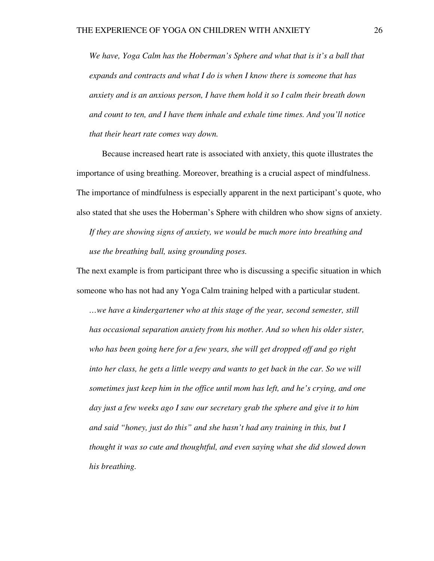*We have, Yoga Calm has the Hoberman's Sphere and what that is it's a ball that expands and contracts and what I do is when I know there is someone that has anxiety and is an anxious person, I have them hold it so I calm their breath down and count to ten, and I have them inhale and exhale time times. And you'll notice that their heart rate comes way down.* 

 Because increased heart rate is associated with anxiety, this quote illustrates the importance of using breathing. Moreover, breathing is a crucial aspect of mindfulness. The importance of mindfulness is especially apparent in the next participant's quote, who also stated that she uses the Hoberman's Sphere with children who show signs of anxiety.

*If they are showing signs of anxiety, we would be much more into breathing and use the breathing ball, using grounding poses.* 

The next example is from participant three who is discussing a specific situation in which someone who has not had any Yoga Calm training helped with a particular student.

*…we have a kindergartener who at this stage of the year, second semester, still has occasional separation anxiety from his mother. And so when his older sister, who has been going here for a few years, she will get dropped off and go right into her class, he gets a little weepy and wants to get back in the car. So we will sometimes just keep him in the office until mom has left, and he's crying, and one day just a few weeks ago I saw our secretary grab the sphere and give it to him and said "honey, just do this" and she hasn't had any training in this, but I thought it was so cute and thoughtful, and even saying what she did slowed down his breathing.*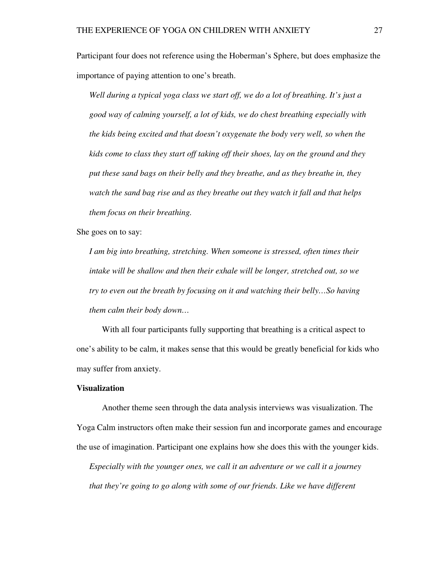Participant four does not reference using the Hoberman's Sphere, but does emphasize the importance of paying attention to one's breath.

*Well during a typical yoga class we start off, we do a lot of breathing. It's just a good way of calming yourself, a lot of kids, we do chest breathing especially with the kids being excited and that doesn't oxygenate the body very well, so when the kids come to class they start off taking off their shoes, lay on the ground and they put these sand bags on their belly and they breathe, and as they breathe in, they watch the sand bag rise and as they breathe out they watch it fall and that helps them focus on their breathing.* 

She goes on to say:

*I am big into breathing, stretching. When someone is stressed, often times their intake will be shallow and then their exhale will be longer, stretched out, so we try to even out the breath by focusing on it and watching their belly…So having them calm their body down…* 

With all four participants fully supporting that breathing is a critical aspect to one's ability to be calm, it makes sense that this would be greatly beneficial for kids who may suffer from anxiety.

### **Visualization**

Another theme seen through the data analysis interviews was visualization. The Yoga Calm instructors often make their session fun and incorporate games and encourage the use of imagination. Participant one explains how she does this with the younger kids.

*Especially with the younger ones, we call it an adventure or we call it a journey that they're going to go along with some of our friends. Like we have different*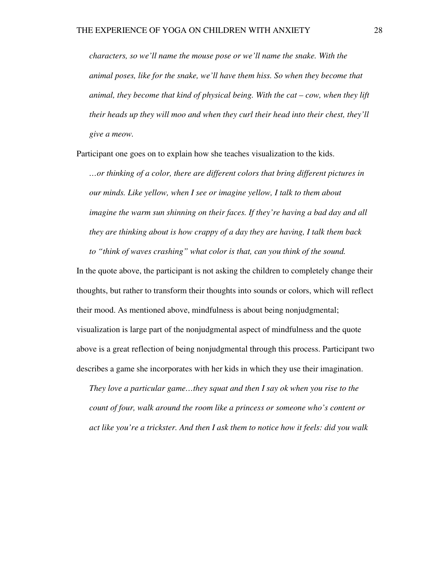*characters, so we'll name the mouse pose or we'll name the snake. With the animal poses, like for the snake, we'll have them hiss. So when they become that animal, they become that kind of physical being. With the cat – cow, when they lift their heads up they will moo and when they curl their head into their chest, they'll give a meow.* 

Participant one goes on to explain how she teaches visualization to the kids.

*…or thinking of a color, there are different colors that bring different pictures in our minds. Like yellow, when I see or imagine yellow, I talk to them about imagine the warm sun shinning on their faces. If they're having a bad day and all they are thinking about is how crappy of a day they are having, I talk them back to "think of waves crashing" what color is that, can you think of the sound.* 

In the quote above, the participant is not asking the children to completely change their thoughts, but rather to transform their thoughts into sounds or colors, which will reflect their mood. As mentioned above, mindfulness is about being nonjudgmental; visualization is large part of the nonjudgmental aspect of mindfulness and the quote above is a great reflection of being nonjudgmental through this process. Participant two describes a game she incorporates with her kids in which they use their imagination.

*They love a particular game…they squat and then I say ok when you rise to the count of four, walk around the room like a princess or someone who's content or act like you're a trickster. And then I ask them to notice how it feels: did you walk*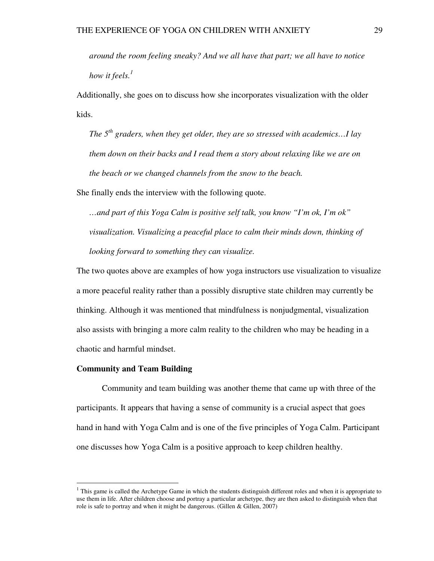*around the room feeling sneaky? And we all have that part; we all have to notice how it feels.*<sup> $1$ </sup>

Additionally, she goes on to discuss how she incorporates visualization with the older kids.

*The 5th graders, when they get older, they are so stressed with academics…I lay them down on their backs and I read them a story about relaxing like we are on the beach or we changed channels from the snow to the beach.* 

She finally ends the interview with the following quote.

*…and part of this Yoga Calm is positive self talk, you know "I'm ok, I'm ok" visualization. Visualizing a peaceful place to calm their minds down, thinking of looking forward to something they can visualize.* 

The two quotes above are examples of how yoga instructors use visualization to visualize a more peaceful reality rather than a possibly disruptive state children may currently be thinking. Although it was mentioned that mindfulness is nonjudgmental, visualization also assists with bringing a more calm reality to the children who may be heading in a chaotic and harmful mindset.

### **Community and Team Building**

 $\overline{a}$ 

 Community and team building was another theme that came up with three of the participants. It appears that having a sense of community is a crucial aspect that goes hand in hand with Yoga Calm and is one of the five principles of Yoga Calm. Participant one discusses how Yoga Calm is a positive approach to keep children healthy.

 $<sup>1</sup>$  This game is called the Archetype Game in which the students distinguish different roles and when it is appropriate to</sup> use them in life. After children choose and portray a particular archetype, they are then asked to distinguish when that role is safe to portray and when it might be dangerous. (Gillen & Gillen, 2007)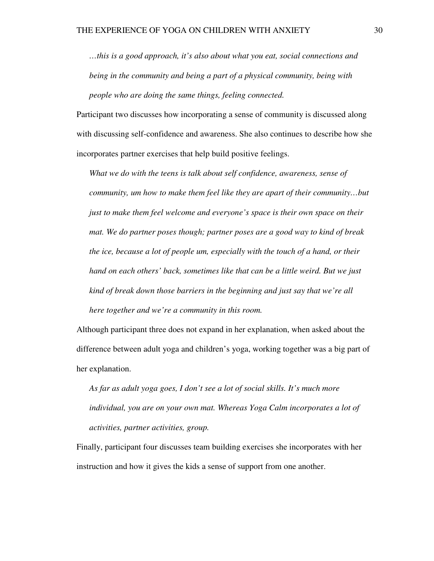*…this is a good approach, it's also about what you eat, social connections and being in the community and being a part of a physical community, being with people who are doing the same things, feeling connected.* 

Participant two discusses how incorporating a sense of community is discussed along with discussing self-confidence and awareness. She also continues to describe how she incorporates partner exercises that help build positive feelings.

*What we do with the teens is talk about self confidence, awareness, sense of community, um how to make them feel like they are apart of their community…but just to make them feel welcome and everyone's space is their own space on their mat. We do partner poses though; partner poses are a good way to kind of break the ice, because a lot of people um, especially with the touch of a hand, or their hand on each others' back, sometimes like that can be a little weird. But we just kind of break down those barriers in the beginning and just say that we're all here together and we're a community in this room.* 

Although participant three does not expand in her explanation, when asked about the difference between adult yoga and children's yoga, working together was a big part of her explanation.

*As far as adult yoga goes, I don't see a lot of social skills. It's much more individual, you are on your own mat. Whereas Yoga Calm incorporates a lot of activities, partner activities, group.* 

Finally, participant four discusses team building exercises she incorporates with her instruction and how it gives the kids a sense of support from one another.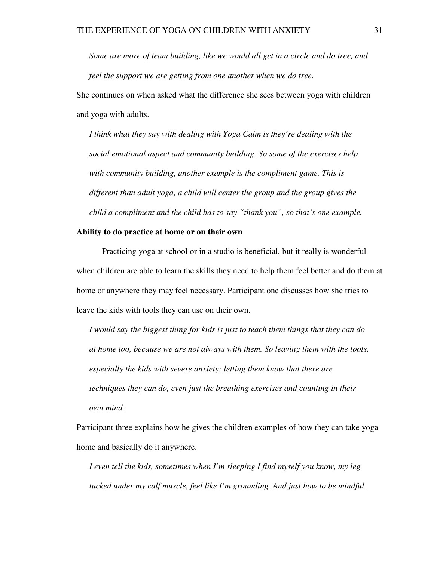*Some are more of team building, like we would all get in a circle and do tree, and feel the support we are getting from one another when we do tree.* 

She continues on when asked what the difference she sees between yoga with children and yoga with adults.

*I think what they say with dealing with Yoga Calm is they're dealing with the social emotional aspect and community building. So some of the exercises help with community building, another example is the compliment game. This is different than adult yoga, a child will center the group and the group gives the child a compliment and the child has to say "thank you", so that's one example.* 

### **Ability to do practice at home or on their own**

Practicing yoga at school or in a studio is beneficial, but it really is wonderful when children are able to learn the skills they need to help them feel better and do them at home or anywhere they may feel necessary. Participant one discusses how she tries to leave the kids with tools they can use on their own.

*I would say the biggest thing for kids is just to teach them things that they can do at home too, because we are not always with them. So leaving them with the tools, especially the kids with severe anxiety: letting them know that there are techniques they can do, even just the breathing exercises and counting in their own mind.* 

Participant three explains how he gives the children examples of how they can take yoga home and basically do it anywhere.

*I even tell the kids, sometimes when I'm sleeping I find myself you know, my leg tucked under my calf muscle, feel like I'm grounding. And just how to be mindful.*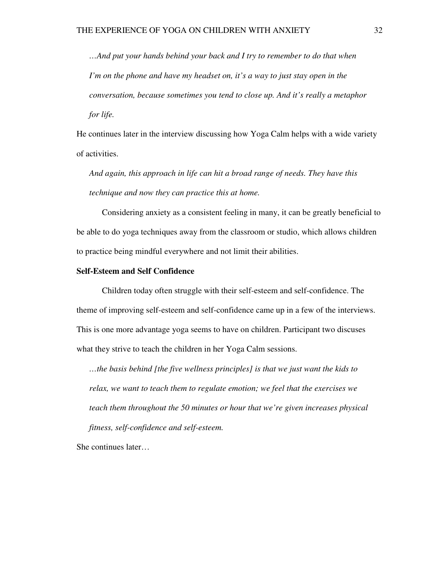*…And put your hands behind your back and I try to remember to do that when I'm on the phone and have my headset on, it's a way to just stay open in the conversation, because sometimes you tend to close up. And it's really a metaphor for life.* 

He continues later in the interview discussing how Yoga Calm helps with a wide variety of activities.

*And again, this approach in life can hit a broad range of needs. They have this technique and now they can practice this at home.* 

 Considering anxiety as a consistent feeling in many, it can be greatly beneficial to be able to do yoga techniques away from the classroom or studio, which allows children to practice being mindful everywhere and not limit their abilities.

#### **Self-Esteem and Self Confidence**

Children today often struggle with their self-esteem and self-confidence. The theme of improving self-esteem and self-confidence came up in a few of the interviews. This is one more advantage yoga seems to have on children. Participant two discuses what they strive to teach the children in her Yoga Calm sessions.

*…the basis behind [the five wellness principles] is that we just want the kids to relax, we want to teach them to regulate emotion; we feel that the exercises we teach them throughout the 50 minutes or hour that we're given increases physical fitness, self-confidence and self-esteem.* 

She continues later…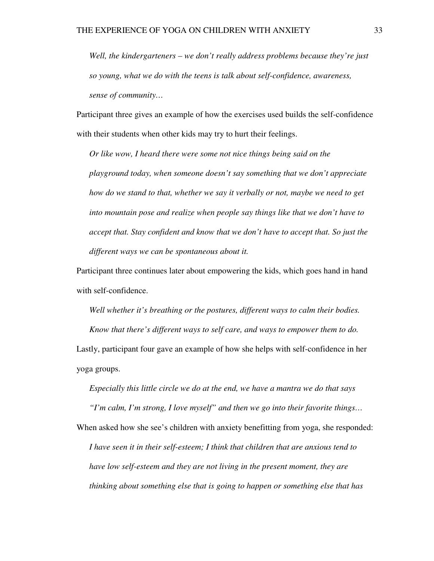*Well, the kindergarteners – we don't really address problems because they're just so young, what we do with the teens is talk about self-confidence, awareness, sense of community…*

Participant three gives an example of how the exercises used builds the self-confidence with their students when other kids may try to hurt their feelings.

*Or like wow, I heard there were some not nice things being said on the playground today, when someone doesn't say something that we don't appreciate how do we stand to that, whether we say it verbally or not, maybe we need to get into mountain pose and realize when people say things like that we don't have to accept that. Stay confident and know that we don't have to accept that. So just the different ways we can be spontaneous about it.* 

Participant three continues later about empowering the kids, which goes hand in hand with self-confidence.

*Well whether it's breathing or the postures, different ways to calm their bodies. Know that there's different ways to self care, and ways to empower them to do.*  Lastly, participant four gave an example of how she helps with self-confidence in her

yoga groups.

*Especially this little circle we do at the end, we have a mantra we do that says* 

*"I'm calm, I'm strong, I love myself" and then we go into their favorite things…* 

When asked how she see's children with anxiety benefitting from yoga, she responded: *I have seen it in their self-esteem; I think that children that are anxious tend to have low self-esteem and they are not living in the present moment, they are thinking about something else that is going to happen or something else that has*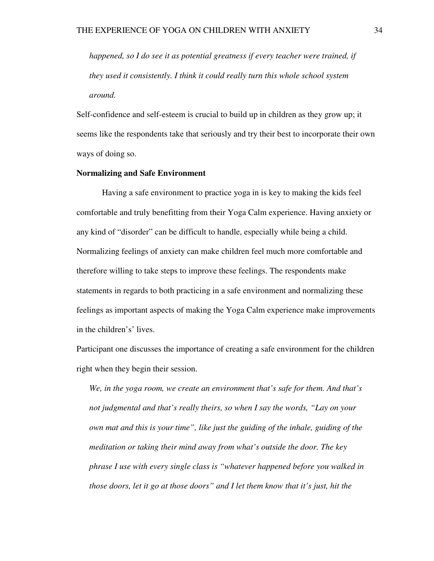*happened, so I do see it as potential greatness if every teacher were trained, if they used it consistently. I think it could really turn this whole school system around.* 

Self-confidence and self-esteem is crucial to build up in children as they grow up; it seems like the respondents take that seriously and try their best to incorporate their own ways of doing so.

## **Normalizing and Safe Environment**

 Having a safe environment to practice yoga in is key to making the kids feel comfortable and truly benefitting from their Yoga Calm experience. Having anxiety or any kind of "disorder" can be difficult to handle, especially while being a child. Normalizing feelings of anxiety can make children feel much more comfortable and therefore willing to take steps to improve these feelings. The respondents make statements in regards to both practicing in a safe environment and normalizing these feelings as important aspects of making the Yoga Calm experience make improvements in the children's' lives.

Participant one discusses the importance of creating a safe environment for the children right when they begin their session.

*We, in the yoga room, we create an environment that's safe for them. And that's not judgmental and that's really theirs, so when I say the words, "Lay on your own mat and this is your time", like just the guiding of the inhale, guiding of the meditation or taking their mind away from what's outside the door. The key phrase I use with every single class is "whatever happened before you walked in those doors, let it go at those doors" and I let them know that it's just, hit the*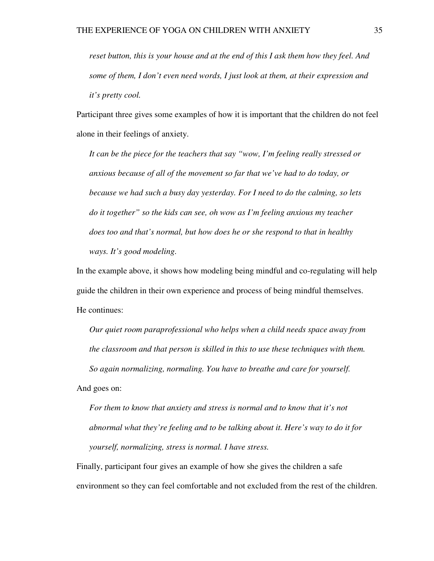*reset button, this is your house and at the end of this I ask them how they feel. And some of them, I don't even need words, I just look at them, at their expression and it's pretty cool.* 

Participant three gives some examples of how it is important that the children do not feel alone in their feelings of anxiety.

*It can be the piece for the teachers that say "wow, I'm feeling really stressed or anxious because of all of the movement so far that we've had to do today, or because we had such a busy day yesterday. For I need to do the calming, so lets do it together" so the kids can see, oh wow as I'm feeling anxious my teacher does too and that's normal, but how does he or she respond to that in healthy ways. It's good modeling.* 

In the example above, it shows how modeling being mindful and co-regulating will help guide the children in their own experience and process of being mindful themselves. He continues:

*Our quiet room paraprofessional who helps when a child needs space away from the classroom and that person is skilled in this to use these techniques with them. So again normalizing, normaling. You have to breathe and care for yourself.*  And goes on:

*For them to know that anxiety and stress is normal and to know that it's not abnormal what they're feeling and to be talking about it. Here's way to do it for yourself, normalizing, stress is normal. I have stress.* 

Finally, participant four gives an example of how she gives the children a safe environment so they can feel comfortable and not excluded from the rest of the children.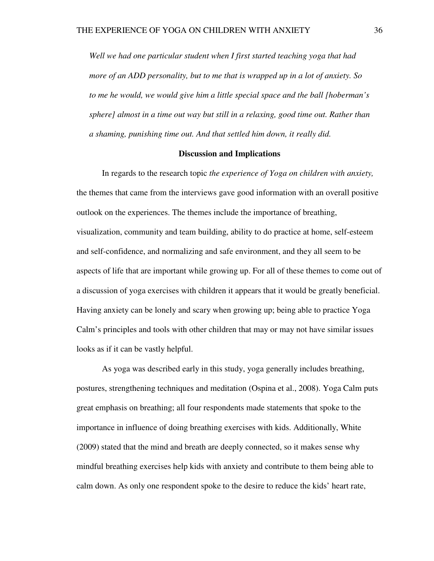*Well we had one particular student when I first started teaching yoga that had more of an ADD personality, but to me that is wrapped up in a lot of anxiety. So to me he would, we would give him a little special space and the ball [hoberman's sphere] almost in a time out way but still in a relaxing, good time out. Rather than a shaming, punishing time out. And that settled him down, it really did.* 

#### **Discussion and Implications**

 In regards to the research topic *the experience of Yoga on children with anxiety,*  the themes that came from the interviews gave good information with an overall positive outlook on the experiences. The themes include the importance of breathing, visualization, community and team building, ability to do practice at home, self-esteem and self-confidence, and normalizing and safe environment, and they all seem to be aspects of life that are important while growing up. For all of these themes to come out of a discussion of yoga exercises with children it appears that it would be greatly beneficial. Having anxiety can be lonely and scary when growing up; being able to practice Yoga Calm's principles and tools with other children that may or may not have similar issues looks as if it can be vastly helpful.

 As yoga was described early in this study, yoga generally includes breathing, postures, strengthening techniques and meditation (Ospina et al., 2008). Yoga Calm puts great emphasis on breathing; all four respondents made statements that spoke to the importance in influence of doing breathing exercises with kids. Additionally, White (2009) stated that the mind and breath are deeply connected, so it makes sense why mindful breathing exercises help kids with anxiety and contribute to them being able to calm down. As only one respondent spoke to the desire to reduce the kids' heart rate,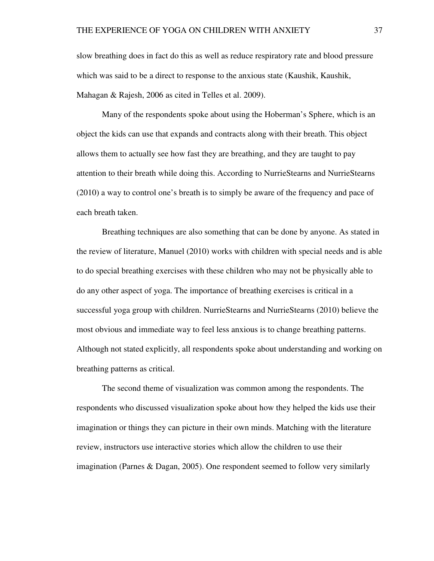slow breathing does in fact do this as well as reduce respiratory rate and blood pressure which was said to be a direct to response to the anxious state (Kaushik, Kaushik, Mahagan & Rajesh, 2006 as cited in Telles et al. 2009).

 Many of the respondents spoke about using the Hoberman's Sphere, which is an object the kids can use that expands and contracts along with their breath. This object allows them to actually see how fast they are breathing, and they are taught to pay attention to their breath while doing this. According to NurrieStearns and NurrieStearns (2010) a way to control one's breath is to simply be aware of the frequency and pace of each breath taken.

 Breathing techniques are also something that can be done by anyone. As stated in the review of literature, Manuel (2010) works with children with special needs and is able to do special breathing exercises with these children who may not be physically able to do any other aspect of yoga. The importance of breathing exercises is critical in a successful yoga group with children. NurrieStearns and NurrieStearns (2010) believe the most obvious and immediate way to feel less anxious is to change breathing patterns. Although not stated explicitly, all respondents spoke about understanding and working on breathing patterns as critical.

 The second theme of visualization was common among the respondents. The respondents who discussed visualization spoke about how they helped the kids use their imagination or things they can picture in their own minds. Matching with the literature review, instructors use interactive stories which allow the children to use their imagination (Parnes & Dagan, 2005). One respondent seemed to follow very similarly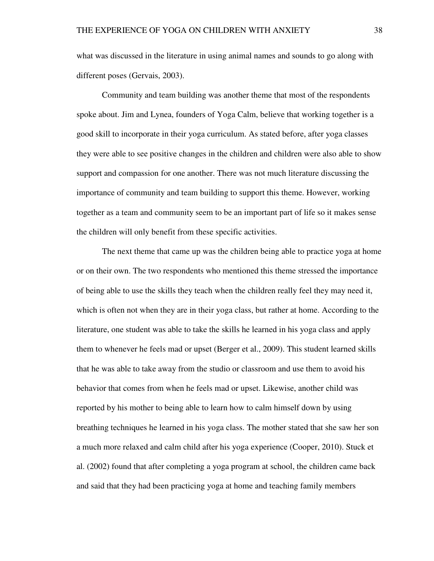what was discussed in the literature in using animal names and sounds to go along with different poses (Gervais, 2003).

 Community and team building was another theme that most of the respondents spoke about. Jim and Lynea, founders of Yoga Calm, believe that working together is a good skill to incorporate in their yoga curriculum. As stated before, after yoga classes they were able to see positive changes in the children and children were also able to show support and compassion for one another. There was not much literature discussing the importance of community and team building to support this theme. However, working together as a team and community seem to be an important part of life so it makes sense the children will only benefit from these specific activities.

 The next theme that came up was the children being able to practice yoga at home or on their own. The two respondents who mentioned this theme stressed the importance of being able to use the skills they teach when the children really feel they may need it, which is often not when they are in their yoga class, but rather at home. According to the literature, one student was able to take the skills he learned in his yoga class and apply them to whenever he feels mad or upset (Berger et al., 2009). This student learned skills that he was able to take away from the studio or classroom and use them to avoid his behavior that comes from when he feels mad or upset. Likewise, another child was reported by his mother to being able to learn how to calm himself down by using breathing techniques he learned in his yoga class. The mother stated that she saw her son a much more relaxed and calm child after his yoga experience (Cooper, 2010). Stuck et al. (2002) found that after completing a yoga program at school, the children came back and said that they had been practicing yoga at home and teaching family members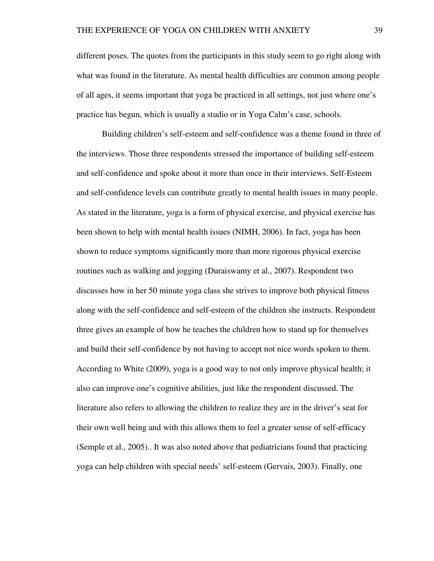different poses. The quotes from the participants in this study seem to go right along with what was found in the literature. As mental health difficulties are common among people of all ages, it seems important that yoga be practiced in all settings, not just where one's practice has begun, which is usually a studio or in Yoga Calm's case, schools.

 Building children's self-esteem and self-confidence was a theme found in three of the interviews. Those three respondents stressed the importance of building self-esteem and self-confidence and spoke about it more than once in their interviews. Self-Esteem and self-confidence levels can contribute greatly to mental health issues in many people. As stated in the literature, yoga is a form of physical exercise, and physical exercise has been shown to help with mental health issues (NIMH, 2006). In fact, yoga has been shown to reduce symptoms significantly more than more rigorous physical exercise routines such as walking and jogging (Duraiswamy et al., 2007). Respondent two discusses how in her 50 minute yoga class she strives to improve both physical fitness along with the self-confidence and self-esteem of the children she instructs. Respondent three gives an example of how he teaches the children how to stand up for themselves and build their self-confidence by not having to accept not nice words spoken to them. According to White (2009), yoga is a good way to not only improve physical health; it also can improve one's cognitive abilities, just like the respondent discussed. The literature also refers to allowing the children to realize they are in the driver's seat for their own well being and with this allows them to feel a greater sense of self-efficacy (Semple et al., 2005).. It was also noted above that pediatricians found that practicing yoga can help children with special needs' self-esteem (Gervais, 2003). Finally, one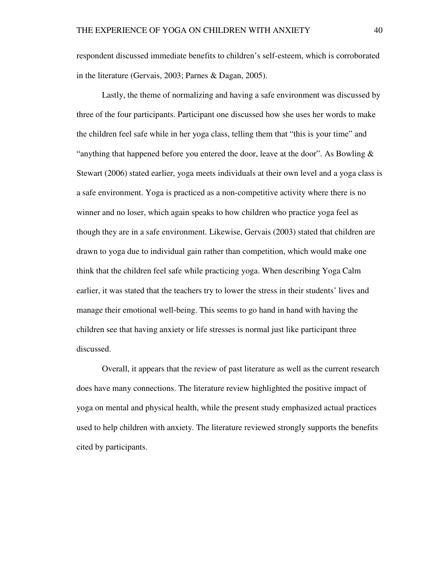respondent discussed immediate benefits to children's self-esteem, which is corroborated in the literature (Gervais, 2003; Parnes & Dagan, 2005).

 Lastly, the theme of normalizing and having a safe environment was discussed by three of the four participants. Participant one discussed how she uses her words to make the children feel safe while in her yoga class, telling them that "this is your time" and "anything that happened before you entered the door, leave at the door". As Bowling  $\&$ Stewart (2006) stated earlier, yoga meets individuals at their own level and a yoga class is a safe environment. Yoga is practiced as a non-competitive activity where there is no winner and no loser, which again speaks to how children who practice yoga feel as though they are in a safe environment. Likewise, Gervais (2003) stated that children are drawn to yoga due to individual gain rather than competition, which would make one think that the children feel safe while practicing yoga. When describing Yoga Calm earlier, it was stated that the teachers try to lower the stress in their students' lives and manage their emotional well-being. This seems to go hand in hand with having the children see that having anxiety or life stresses is normal just like participant three discussed.

 Overall, it appears that the review of past literature as well as the current research does have many connections. The literature review highlighted the positive impact of yoga on mental and physical health, while the present study emphasized actual practices used to help children with anxiety. The literature reviewed strongly supports the benefits cited by participants.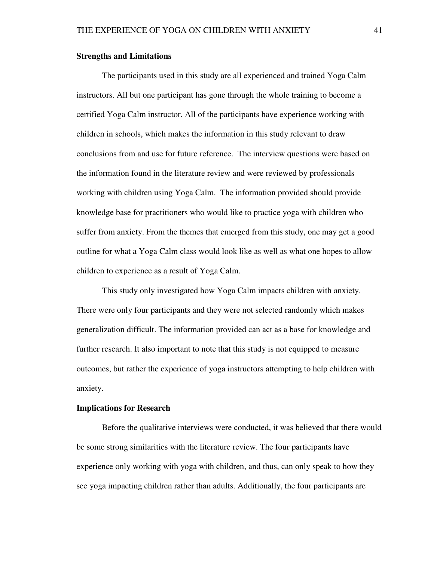#### **Strengths and Limitations**

 The participants used in this study are all experienced and trained Yoga Calm instructors. All but one participant has gone through the whole training to become a certified Yoga Calm instructor. All of the participants have experience working with children in schools, which makes the information in this study relevant to draw conclusions from and use for future reference. The interview questions were based on the information found in the literature review and were reviewed by professionals working with children using Yoga Calm. The information provided should provide knowledge base for practitioners who would like to practice yoga with children who suffer from anxiety. From the themes that emerged from this study, one may get a good outline for what a Yoga Calm class would look like as well as what one hopes to allow children to experience as a result of Yoga Calm.

 This study only investigated how Yoga Calm impacts children with anxiety. There were only four participants and they were not selected randomly which makes generalization difficult. The information provided can act as a base for knowledge and further research. It also important to note that this study is not equipped to measure outcomes, but rather the experience of yoga instructors attempting to help children with anxiety.

#### **Implications for Research**

 Before the qualitative interviews were conducted, it was believed that there would be some strong similarities with the literature review. The four participants have experience only working with yoga with children, and thus, can only speak to how they see yoga impacting children rather than adults. Additionally, the four participants are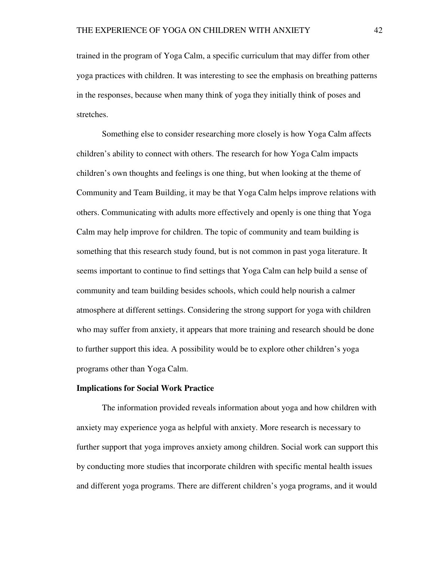trained in the program of Yoga Calm, a specific curriculum that may differ from other yoga practices with children. It was interesting to see the emphasis on breathing patterns in the responses, because when many think of yoga they initially think of poses and stretches.

Something else to consider researching more closely is how Yoga Calm affects children's ability to connect with others. The research for how Yoga Calm impacts children's own thoughts and feelings is one thing, but when looking at the theme of Community and Team Building, it may be that Yoga Calm helps improve relations with others. Communicating with adults more effectively and openly is one thing that Yoga Calm may help improve for children. The topic of community and team building is something that this research study found, but is not common in past yoga literature. It seems important to continue to find settings that Yoga Calm can help build a sense of community and team building besides schools, which could help nourish a calmer atmosphere at different settings. Considering the strong support for yoga with children who may suffer from anxiety, it appears that more training and research should be done to further support this idea. A possibility would be to explore other children's yoga programs other than Yoga Calm.

#### **Implications for Social Work Practice**

 The information provided reveals information about yoga and how children with anxiety may experience yoga as helpful with anxiety. More research is necessary to further support that yoga improves anxiety among children. Social work can support this by conducting more studies that incorporate children with specific mental health issues and different yoga programs. There are different children's yoga programs, and it would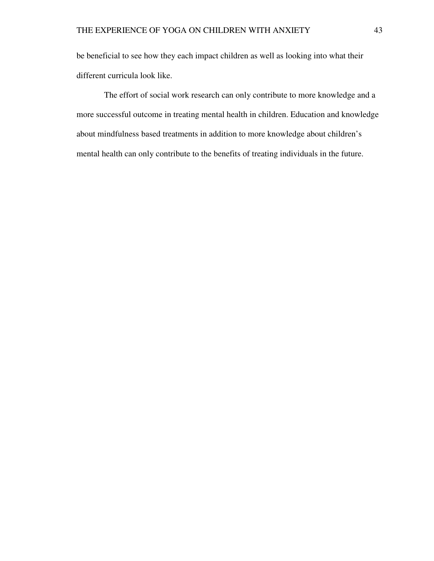be beneficial to see how they each impact children as well as looking into what their different curricula look like.

 The effort of social work research can only contribute to more knowledge and a more successful outcome in treating mental health in children. Education and knowledge about mindfulness based treatments in addition to more knowledge about children's mental health can only contribute to the benefits of treating individuals in the future.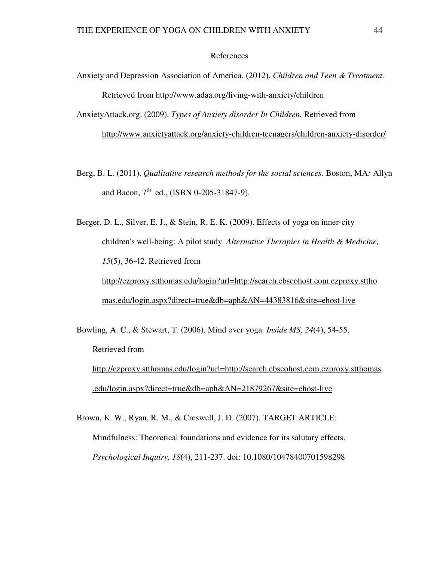#### References

- Anxiety and Depression Association of America. (2012). *Children and Teen & Treatment.*  Retrieved from http://www.adaa.org/living-with-anxiety/children
- AnxietyAttack.org. (2009). *Types of Anxiety disorder In Children.* Retrieved from

http://www.anxietyattack.org/anxiety-children-teenagers/children-anxiety-disorder/

Berg, B. L. (2011). *Qualitative research methods for the social sciences.* Boston, MA*:* Allyn and Bacon,  $7^{th}$  ed., (ISBN 0-205-31847-9).

Berger, D. L., Silver, E. J., & Stein, R. E. K. (2009). Effects of yoga on inner-city children's well-being: A pilot study. *Alternative Therapies in Health & Medicine, 15*(5), 36-42. Retrieved from http://ezproxy.stthomas.edu/login?url=http://search.ebscohost.com.ezproxy.sttho mas.edu/login.aspx?direct=true&db=aph&AN=44383816&site=ehost-live

Bowling, A. C., & Stewart, T. (2006). Mind over yoga. *Inside MS, 24*(4), 54-55. Retrieved from http://ezproxy.stthomas.edu/login?url=http://search.ebscohost.com.ezproxy.stthomas .edu/login.aspx?direct=true&db=aph&AN=21879267&site=ehost-live

Brown, K. W., Ryan, R. M., & Creswell, J. D. (2007). TARGET ARTICLE: Mindfulness: Theoretical foundations and evidence for its salutary effects. *Psychological Inquiry, 18*(4), 211-237. doi: 10.1080/10478400701598298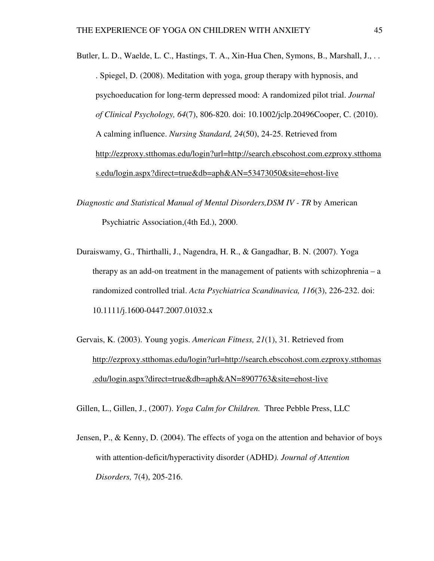- Butler, L. D., Waelde, L. C., Hastings, T. A., Xin-Hua Chen, Symons, B., Marshall, J., .. . Spiegel, D. (2008). Meditation with yoga, group therapy with hypnosis, and psychoeducation for long-term depressed mood: A randomized pilot trial. *Journal of Clinical Psychology, 64*(7), 806-820. doi: 10.1002/jclp.20496Cooper, C. (2010). A calming influence. *Nursing Standard, 24*(50), 24-25. Retrieved from http://ezproxy.stthomas.edu/login?url=http://search.ebscohost.com.ezproxy.stthoma s.edu/login.aspx?direct=true&db=aph&AN=53473050&site=ehost-live
- *Diagnostic and Statistical Manual of Mental Disorders,DSM IV TR* by American Psychiatric Association,(4th Ed.), 2000.
- Duraiswamy, G., Thirthalli, J., Nagendra, H. R., & Gangadhar, B. N. (2007). Yoga therapy as an add-on treatment in the management of patients with schizophrenia – a randomized controlled trial. *Acta Psychiatrica Scandinavica, 116*(3), 226-232. doi: 10.1111/j.1600-0447.2007.01032.x
- Gervais, K. (2003). Young yogis. *American Fitness, 21*(1), 31. Retrieved from http://ezproxy.stthomas.edu/login?url=http://search.ebscohost.com.ezproxy.stthomas .edu/login.aspx?direct=true&db=aph&AN=8907763&site=ehost-live

Gillen, L., Gillen, J., (2007). *Yoga Calm for Children.* Three Pebble Press, LLC

Jensen, P., & Kenny, D. (2004). The effects of yoga on the attention and behavior of boys with attention-deficit/hyperactivity disorder (ADHD*). Journal of Attention Disorders,* 7(4), 205-216.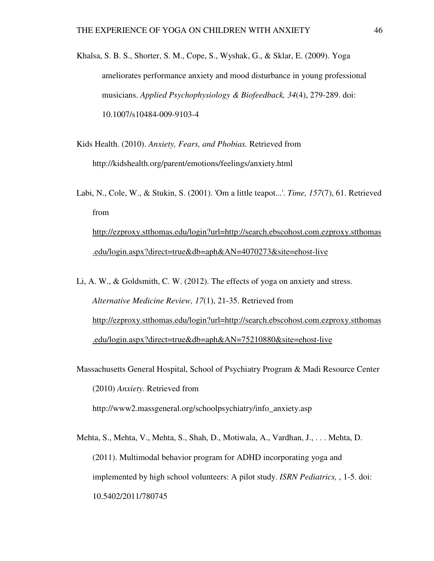- Khalsa, S. B. S., Shorter, S. M., Cope, S., Wyshak, G., & Sklar, E. (2009). Yoga ameliorates performance anxiety and mood disturbance in young professional musicians. *Applied Psychophysiology & Biofeedback, 34*(4), 279-289. doi: 10.1007/s10484-009-9103-4
- Kids Health. (2010). *Anxiety, Fears, and Phobias.* Retrieved from http://kidshealth.org/parent/emotions/feelings/anxiety.html
- Labi, N., Cole, W., & Stukin, S. (2001). 'Om a little teapot...'. *Time, 157*(7), 61. Retrieved from http://ezproxy.stthomas.edu/login?url=http://search.ebscohost.com.ezproxy.stthomas

.edu/login.aspx?direct=true&db=aph&AN=4070273&site=ehost-live

- Li, A. W., & Goldsmith, C. W. (2012). The effects of yoga on anxiety and stress. *Alternative Medicine Review, 17*(1), 21-35. Retrieved from http://ezproxy.stthomas.edu/login?url=http://search.ebscohost.com.ezproxy.stthomas .edu/login.aspx?direct=true&db=aph&AN=75210880&site=ehost-live
- Massachusetts General Hospital, School of Psychiatry Program & Madi Resource Center (2010) *Anxiety.* Retrieved from http://www2.massgeneral.org/schoolpsychiatry/info\_anxiety.asp
- Mehta, S., Mehta, V., Mehta, S., Shah, D., Motiwala, A., Vardhan, J., . . . Mehta, D. (2011). Multimodal behavior program for ADHD incorporating yoga and implemented by high school volunteers: A pilot study. *ISRN Pediatrics,* , 1-5. doi: 10.5402/2011/780745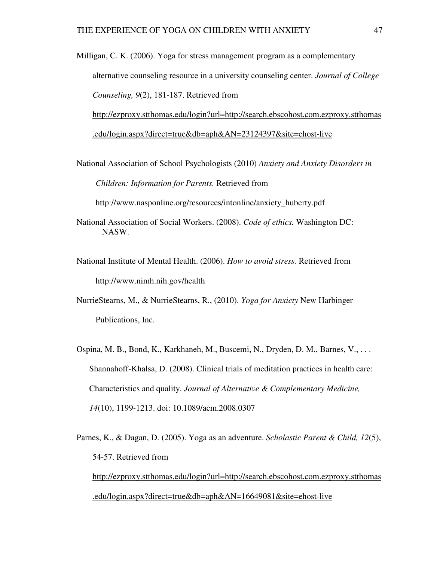Milligan, C. K. (2006). Yoga for stress management program as a complementary alternative counseling resource in a university counseling center. *Journal of College Counseling, 9*(2), 181-187. Retrieved from http://ezproxy.stthomas.edu/login?url=http://search.ebscohost.com.ezproxy.stthomas

.edu/login.aspx?direct=true&db=aph&AN=23124397&site=ehost-live

National Association of School Psychologists (2010) *Anxiety and Anxiety Disorders in* 

*Children: Information for Parents.* Retrieved from

http://www.nasponline.org/resources/intonline/anxiety\_huberty.pdf

- National Association of Social Workers. (2008). *Code of ethics.* Washington DC: NASW.
- National Institute of Mental Health. (2006). *How to avoid stress.* Retrieved from http://www.nimh.nih.gov/health
- NurrieStearns, M., & NurrieStearns, R., (2010). *Yoga for Anxiety* New Harbinger Publications, Inc.
- Ospina, M. B., Bond, K., Karkhaneh, M., Buscemi, N., Dryden, D. M., Barnes, V., . . . Shannahoff-Khalsa, D. (2008). Clinical trials of meditation practices in health care: Characteristics and quality. *Journal of Alternative & Complementary Medicine, 14*(10), 1199-1213. doi: 10.1089/acm.2008.0307
- Parnes, K., & Dagan, D. (2005). Yoga as an adventure. *Scholastic Parent & Child, 12*(5), 54-57. Retrieved from http://ezproxy.stthomas.edu/login?url=http://search.ebscohost.com.ezproxy.stthomas .edu/login.aspx?direct=true&db=aph&AN=16649081&site=ehost-live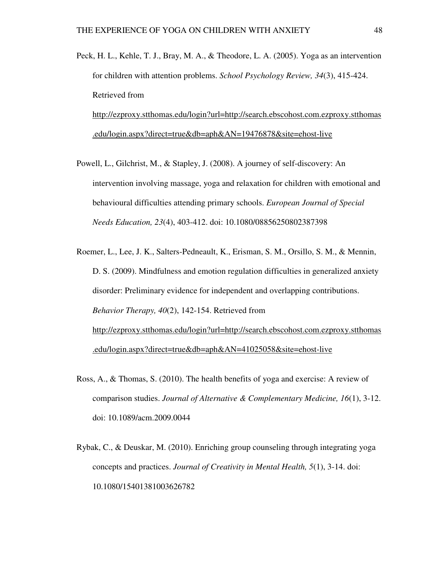- Peck, H. L., Kehle, T. J., Bray, M. A., & Theodore, L. A. (2005). Yoga as an intervention for children with attention problems. *School Psychology Review, 34*(3), 415-424. Retrieved from http://ezproxy.stthomas.edu/login?url=http://search.ebscohost.com.ezproxy.stthomas .edu/login.aspx?direct=true&db=aph&AN=19476878&site=ehost-live
- Powell, L., Gilchrist, M., & Stapley, J. (2008). A journey of self-discovery: An intervention involving massage, yoga and relaxation for children with emotional and behavioural difficulties attending primary schools. *European Journal of Special Needs Education, 23*(4), 403-412. doi: 10.1080/08856250802387398
- Roemer, L., Lee, J. K., Salters-Pedneault, K., Erisman, S. M., Orsillo, S. M., & Mennin, D. S. (2009). Mindfulness and emotion regulation difficulties in generalized anxiety disorder: Preliminary evidence for independent and overlapping contributions. *Behavior Therapy, 40*(2), 142-154. Retrieved from http://ezproxy.stthomas.edu/login?url=http://search.ebscohost.com.ezproxy.stthomas .edu/login.aspx?direct=true&db=aph&AN=41025058&site=ehost-live
- Ross, A., & Thomas, S. (2010). The health benefits of yoga and exercise: A review of comparison studies. *Journal of Alternative & Complementary Medicine, 16*(1), 3-12. doi: 10.1089/acm.2009.0044
- Rybak, C., & Deuskar, M. (2010). Enriching group counseling through integrating yoga concepts and practices. *Journal of Creativity in Mental Health, 5*(1), 3-14. doi: 10.1080/15401381003626782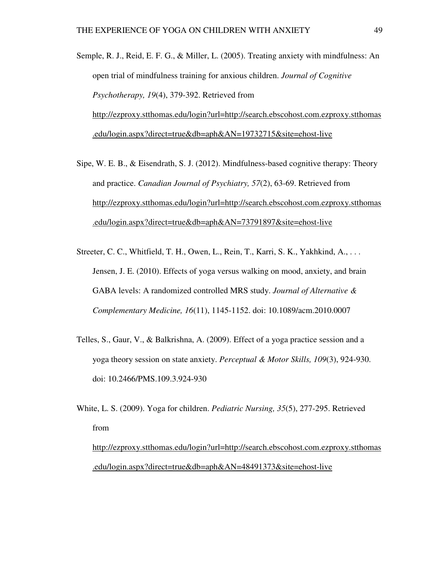Semple, R. J., Reid, E. F. G., & Miller, L. (2005). Treating anxiety with mindfulness: An open trial of mindfulness training for anxious children. *Journal of Cognitive Psychotherapy, 19*(4), 379-392. Retrieved from http://ezproxy.stthomas.edu/login?url=http://search.ebscohost.com.ezproxy.stthomas .edu/login.aspx?direct=true&db=aph&AN=19732715&site=ehost-live

- Sipe, W. E. B., & Eisendrath, S. J. (2012). Mindfulness-based cognitive therapy: Theory and practice. *Canadian Journal of Psychiatry, 57*(2), 63-69. Retrieved from http://ezproxy.stthomas.edu/login?url=http://search.ebscohost.com.ezproxy.stthomas .edu/login.aspx?direct=true&db=aph&AN=73791897&site=ehost-live
- Streeter, C. C., Whitfield, T. H., Owen, L., Rein, T., Karri, S. K., Yakhkind, A., . . . Jensen, J. E. (2010). Effects of yoga versus walking on mood, anxiety, and brain GABA levels: A randomized controlled MRS study. *Journal of Alternative & Complementary Medicine, 16*(11), 1145-1152. doi: 10.1089/acm.2010.0007
- Telles, S., Gaur, V., & Balkrishna, A. (2009). Effect of a yoga practice session and a yoga theory session on state anxiety. *Perceptual & Motor Skills, 109*(3), 924-930. doi: 10.2466/PMS.109.3.924-930
- White, L. S. (2009). Yoga for children. *Pediatric Nursing, 35*(5), 277-295. Retrieved from

http://ezproxy.stthomas.edu/login?url=http://search.ebscohost.com.ezproxy.stthomas .edu/login.aspx?direct=true&db=aph&AN=48491373&site=ehost-live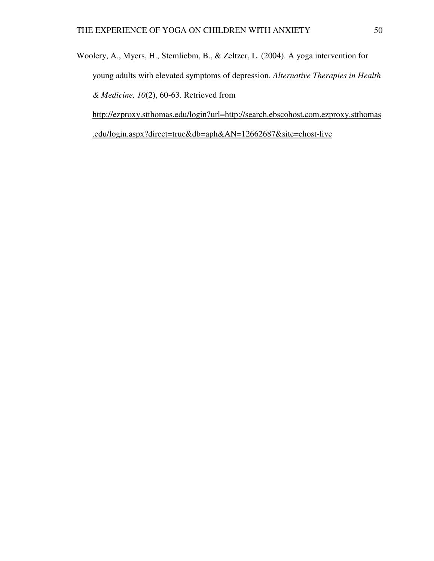Woolery, A., Myers, H., Stemliebm, B., & Zeltzer, L. (2004). A yoga intervention for young adults with elevated symptoms of depression. *Alternative Therapies in Health & Medicine, 10*(2), 60-63. Retrieved from http://ezproxy.stthomas.edu/login?url=http://search.ebscohost.com.ezproxy.stthomas

.edu/login.aspx?direct=true&db=aph&AN=12662687&site=ehost-live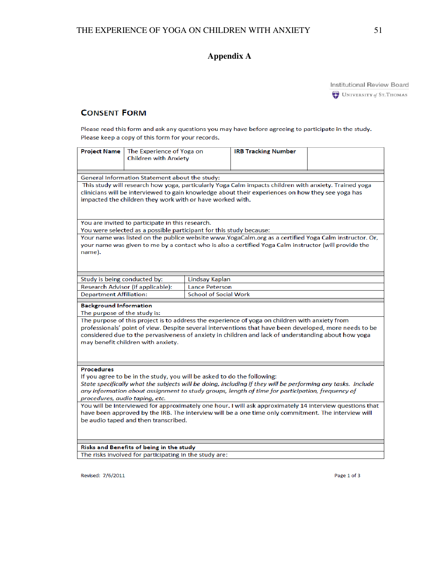## **Appendix A**

**Institutional Review Board** 

## **CONSENT FORM**

Please read this form and ask any questions you may have before agreeing to participate in the study. Please keep a copy of this form for your records.

| <b>Project Name</b>                                                                                                                                                                                                                                                                                                                                                                                                                                                                                                                                                                                          | The Experience of Yoga on<br><b>Children with Anxiety</b>           |                              | <b>IRB Tracking Number</b> |  |  |
|--------------------------------------------------------------------------------------------------------------------------------------------------------------------------------------------------------------------------------------------------------------------------------------------------------------------------------------------------------------------------------------------------------------------------------------------------------------------------------------------------------------------------------------------------------------------------------------------------------------|---------------------------------------------------------------------|------------------------------|----------------------------|--|--|
|                                                                                                                                                                                                                                                                                                                                                                                                                                                                                                                                                                                                              |                                                                     |                              |                            |  |  |
|                                                                                                                                                                                                                                                                                                                                                                                                                                                                                                                                                                                                              |                                                                     |                              |                            |  |  |
| General Information Statement about the study:<br>This study will research how yoga, particularly Yoga Calm impacts children with anxiety. Trained yoga<br>clinicians will be interviewed to gain knowledge about their experiences on how they see yoga has<br>impacted the children they work with or have worked with.                                                                                                                                                                                                                                                                                    |                                                                     |                              |                            |  |  |
|                                                                                                                                                                                                                                                                                                                                                                                                                                                                                                                                                                                                              | You are invited to participate in this research.                    |                              |                            |  |  |
|                                                                                                                                                                                                                                                                                                                                                                                                                                                                                                                                                                                                              | You were selected as a possible participant for this study because: |                              |                            |  |  |
| Your name was listed on the publice website www.YogaCalm.org as a certified Yoga Calm instructor. Or,<br>your name was given to me by a contact who is also a certified Yoga Calm instructor (will provide the<br>name).                                                                                                                                                                                                                                                                                                                                                                                     |                                                                     |                              |                            |  |  |
| Study is being conducted by:                                                                                                                                                                                                                                                                                                                                                                                                                                                                                                                                                                                 |                                                                     | Lindsay Kaplan               |                            |  |  |
|                                                                                                                                                                                                                                                                                                                                                                                                                                                                                                                                                                                                              | Research Advisor (if applicable):                                   | <b>Lance Peterson</b>        |                            |  |  |
| <b>Department Affiliation:</b>                                                                                                                                                                                                                                                                                                                                                                                                                                                                                                                                                                               |                                                                     | <b>School of Social Work</b> |                            |  |  |
| <b>Background Information</b><br>The purpose of the study is:                                                                                                                                                                                                                                                                                                                                                                                                                                                                                                                                                |                                                                     |                              |                            |  |  |
| The purpose of this project is to address the experience of yoga on children with anxiety from<br>professionals' point of view. Despite several interventions that have been developed, more needs to be<br>considered due to the pervasiveness of anxiety in children and lack of understanding about how yoga<br>may benefit children with anxiety.                                                                                                                                                                                                                                                        |                                                                     |                              |                            |  |  |
| <b>Procedures</b><br>If you agree to be in the study, you will be asked to do the following:<br>State specifically what the subjects will be doing, including if they will be performing any tasks. Include<br>any information about assignment to study groups, length of time for participation, frequency of<br>procedures, audio taping, etc.<br>You will be interviewed for approximately one hour. I will ask approximately 14 interview questions that<br>have been approved by the IRB. The interview will be a one time only commitment. The interview will<br>be audio taped and then transcribed. |                                                                     |                              |                            |  |  |
| Risks and Benefits of being in the study                                                                                                                                                                                                                                                                                                                                                                                                                                                                                                                                                                     |                                                                     |                              |                            |  |  |
|                                                                                                                                                                                                                                                                                                                                                                                                                                                                                                                                                                                                              | The risks involved for participating in the study are:              |                              |                            |  |  |

The risks involved for participating in the study are:

Revised: 7/6/2011

Page 1 of 3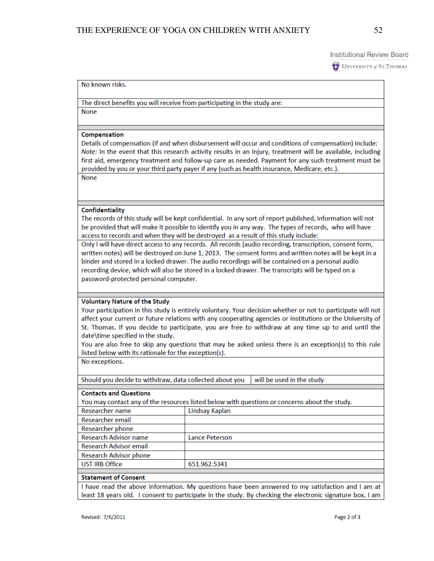UNIVERSITY of ST. THOMAS

#### No known risks.

The direct benefits you will receive from participating in the study are: **None** 

#### Compensation

Details of compensation (if and when disbursement will occur and conditions of compensation) include: Note: In the event that this research activity results in an injury, treatment will be available, including first aid, emergency treatment and follow-up care as needed. Payment for any such treatment must be provided by you or your third party payer if any (such as health insurance, Medicare, etc.). None

#### Confidentiality

The records of this study will be kept confidential. In any sort of report published, information will not be provided that will make it possible to identify you in any way. The types of records, who will have access to records and when they will be destroyed as a result of this study include:

Only I will have direct access to any records. All records (audio recording, transcription, consent form, written notes) will be destroyed on June 1, 2013. The consent forms and written notes will be kept in a binder and stored in a locked drawer. The audio recordings will be contained on a personal audio recording device, which will also be stored in a locked drawer. The transcripts will be typed on a password-protected personal computer.

#### **Voluntary Nature of the Study**

Your participation in this study is entirely voluntary. Your decision whether or not to participate will not affect your current or future relations with any cooperating agencies or institutions or the University of St. Thomas. If you decide to participate, you are free to withdraw at any time up to and until the date\time specified in the study.

You are also free to skip any questions that may be asked unless there is an exception(s) to this rule listed below with its rationale for the exception(s).

No exceptions.

Should you decide to withdraw, data collected about you will be used in the study

#### **Contacts and Questions**

You may contact any of the resources listed below with questions or concerns about the study.

| Researcher name                                | Lindsay Kaplan        |
|------------------------------------------------|-----------------------|
| Researcher email                               |                       |
| Researcher phone                               |                       |
| Research Advisor name                          | <b>Lance Peterson</b> |
| <b>Research Advisor email</b>                  |                       |
| Research Advisor phone                         |                       |
| <b>UST IRB Office</b>                          | 651.962.5341          |
|                                                |                       |
| $A_1, A_2, \ldots, A_n, A_n, A_1, \ldots, A_n$ |                       |

#### **Statement of Consent**

I have read the above information. My questions have been answered to my satisfaction and I am at least 18 years old. I consent to participate in the study. By checking the electronic signature box, I am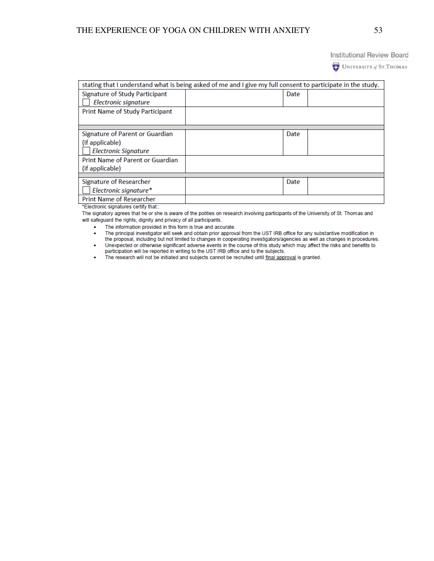**Institutional Review Board** 

UNIVERSITY of ST. THOMAS

| stating that I understand what is being asked of me and I give my full consent to participate in the study. |  |      |  |  |  |  |
|-------------------------------------------------------------------------------------------------------------|--|------|--|--|--|--|
| <b>Signature of Study Participant</b>                                                                       |  | Date |  |  |  |  |
| Electronic signature                                                                                        |  |      |  |  |  |  |
| <b>Print Name of Study Participant</b>                                                                      |  |      |  |  |  |  |
|                                                                                                             |  |      |  |  |  |  |
|                                                                                                             |  |      |  |  |  |  |
| Signature of Parent or Guardian                                                                             |  | Date |  |  |  |  |
| (if applicable)                                                                                             |  |      |  |  |  |  |
| <b>Electronic Signature</b>                                                                                 |  |      |  |  |  |  |
| Print Name of Parent or Guardian                                                                            |  |      |  |  |  |  |
| (if applicable)                                                                                             |  |      |  |  |  |  |
|                                                                                                             |  |      |  |  |  |  |
| Signature of Researcher                                                                                     |  | Date |  |  |  |  |
| Electronic signature*                                                                                       |  |      |  |  |  |  |
| <b>Print Name of Researcher</b>                                                                             |  |      |  |  |  |  |

\*Electronic signatures certify that::

The signatory agrees that he or she is aware of the polities on research involving participants of the University of St. Thomas and will safeguard the rights, dignity and privacy of all participants.

. The information provided in this form is true and accurate.

- The principal investigator will seek and obtain prior approval from the UST IRB office for any substantive modification in  $\mathbf{r}$ the proposal, including but not limited to changes in cooperating investigators/agencies as well as changes in procedures.
- Unexpected or otherwise significant adverse events in the course of this study which may affect the risks and benefits to  $\bullet$ participation will be reported in writing to the UST IRB office and to the subjects.

The research will not be initiated and subjects cannot be recruited until final approval is granted.  $\bullet$